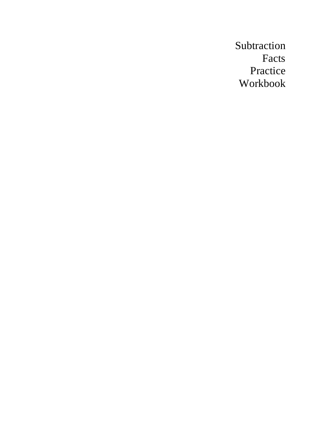Subtraction Facts Practice Workbook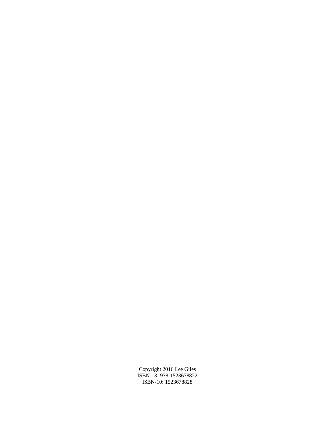Copyright 2016 Lee Giles ISBN-13: 978-1523678822 ISBN-10: 1523678828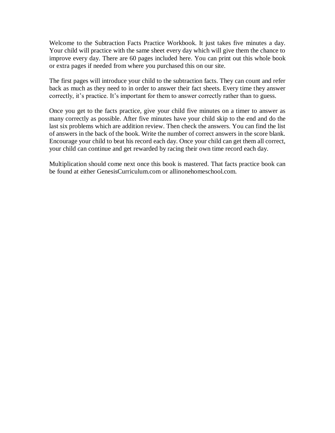Welcome to the Subtraction Facts Practice Workbook. It just takes five minutes a day. Your child will practice with the same sheet every day which will give them the chance to improve every day. There are 60 pages included here. You can print out this whole book or extra pages if needed from where you purchased this on our site.

The first pages will introduce your child to the subtraction facts. They can count and refer back as much as they need to in order to answer their fact sheets. Every time they answer correctly, it's practice. It's important for them to answer correctly rather than to guess.

Once you get to the facts practice, give your child five minutes on a timer to answer as many correctly as possible. After five minutes have your child skip to the end and do the last six problems which are addition review. Then check the answers. You can find the list of answers in the back of the book. Write the number of correct answers in the score blank. Encourage your child to beat his record each day. Once your child can get them all correct, your child can continue and get rewarded by racing their own time record each day.

Multiplication should come next once this book is mastered. That facts practice book can be found at either GenesisCurriculum.com or allinonehomeschool.com.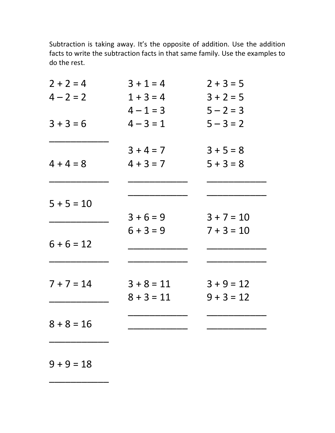Subtraction is taking away. It's the opposite of addition. Use the addition facts to write the subtraction facts in that same family. Use the examples to do the rest.

| $2 + 2 = 4$  | $3 + 1 = 4$  | $2 + 3 = 5$  |
|--------------|--------------|--------------|
| $4 - 2 = 2$  | $1 + 3 = 4$  | $3 + 2 = 5$  |
|              | $4 - 1 = 3$  | $5 - 2 = 3$  |
| $3 + 3 = 6$  | $4 - 3 = 1$  | $5 - 3 = 2$  |
|              | $3 + 4 = 7$  | $3 + 5 = 8$  |
| $4 + 4 = 8$  | $4 + 3 = 7$  | $5 + 3 = 8$  |
|              |              |              |
| $5 + 5 = 10$ |              |              |
|              | $3 + 6 = 9$  | $3 + 7 = 10$ |
|              | $6 + 3 = 9$  | $7 + 3 = 10$ |
| $6 + 6 = 12$ |              |              |
|              |              |              |
| $7 + 7 = 14$ | $3 + 8 = 11$ | $3 + 9 = 12$ |
|              | $8 + 3 = 11$ | $9 + 3 = 12$ |
|              |              |              |
| $8 + 8 = 16$ |              |              |
|              |              |              |

 $9 + 9 = 18$ 

\_\_\_\_\_\_\_\_\_\_\_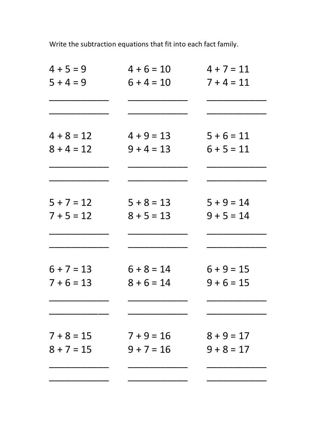Write the subtraction equations that fit into each fact family.

| $4 + 5 = 9$                  | $4 + 6 = 10$                 | $4 + 7 = 11$                 |
|------------------------------|------------------------------|------------------------------|
| $5 + 4 = 9$                  | $6 + 4 = 10$                 | $7 + 4 = 11$                 |
|                              |                              |                              |
| $4 + 8 = 12$<br>$8 + 4 = 12$ | $4 + 9 = 13$<br>$9 + 4 = 13$ | $5 + 6 = 11$<br>$6 + 5 = 11$ |
|                              |                              |                              |
| $5 + 7 = 12$<br>$7 + 5 = 12$ | $5 + 8 = 13$<br>$8 + 5 = 13$ | $5 + 9 = 14$<br>$9 + 5 = 14$ |
|                              |                              |                              |
| $6 + 7 = 13$<br>$7 + 6 = 13$ | $6 + 8 = 14$<br>$8 + 6 = 14$ | $6 + 9 = 15$<br>$9 + 6 = 15$ |
|                              |                              |                              |
| $7 + 8 = 15$<br>$8 + 7 = 15$ | $7 + 9 = 16$<br>$9 + 7 = 16$ | $8 + 9 = 17$<br>$9 + 8 = 17$ |
|                              |                              |                              |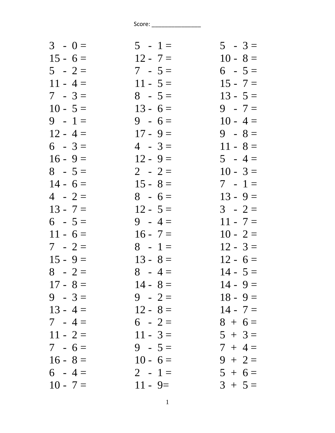| $3 - 0 =$  | $5 - 1 =$  | $5 - 3 =$  |
|------------|------------|------------|
| $15 - 6 =$ | $12 - 7 =$ | $10 - 8 =$ |
| $5 - 2 =$  | $7 - 5 =$  | $6 - 5 =$  |
| $11 - 4 =$ | $11 - 5 =$ | $15 - 7 =$ |
| $7 - 3 =$  | $8 - 5 =$  | $13 - 5 =$ |
| $10 - 5 =$ | $13 - 6 =$ | $9 - 7 =$  |
| $9 - 1 =$  | $9 - 6 =$  | $10 - 4 =$ |
| $12 - 4 =$ | $17 - 9 =$ | $9 - 8 =$  |
| $6 - 3 =$  | $4 - 3 =$  | $11 - 8 =$ |
| $16 - 9 =$ | $12 - 9 =$ | $5 - 4 =$  |
| $8 - 5 =$  | $2 - 2 =$  | $10 - 3 =$ |
| $14 - 6 =$ | $15 - 8 =$ | $7 - 1 =$  |
| $4 - 2 =$  | $8 - 6 =$  | $13 - 9 =$ |
| $13 - 7 =$ | $12 - 5 =$ | $3 - 2 =$  |
| $6 - 5 =$  | $9 - 4 =$  | $11 - 7 =$ |
| $11 - 6 =$ | $16 - 7 =$ | $10 - 2 =$ |
| $7 - 2 =$  | $8 - 1 =$  | $12 - 3 =$ |
| $15 - 9 =$ | $13 - 8 =$ | $12 - 6 =$ |
| $8 - 2 =$  | $8 - 4 =$  | $14 - 5 =$ |
| $17 - 8 =$ | $14 - 8 =$ | $14 - 9 =$ |
| $9 - 3 =$  | $9 - 2 =$  | $18 - 9 =$ |
| $13 - 4 =$ | $12 - 8 =$ | $14 - 7 =$ |
| $7 - 4 =$  | $6 - 2 =$  | $8 + 6 =$  |
| $11 - 2 =$ | $11 - 3 =$ | $5 + 3 =$  |
| $7 - 6 =$  | $9 - 5 =$  | $7 + 4 =$  |
| $16 - 8 =$ | $10 - 6 =$ | $9 + 2 =$  |
| $6 - 4 =$  | $2 - 1 =$  | $5 + 6 =$  |
| $10 - 7 =$ | $11 - 9 =$ | $3 + 5 =$  |
|            |            |            |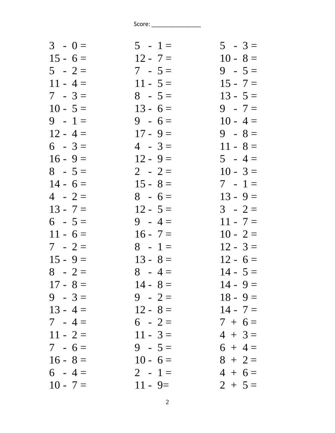| $3 - 0 =$  | $5 - 1 =$  | $5 - 3 =$  |
|------------|------------|------------|
| $15 - 6 =$ | $12 - 7 =$ | $10 - 8 =$ |
| $5 - 2 =$  | $7 - 5 =$  | $9 - 5 =$  |
| $11 - 4 =$ | $11 - 5 =$ | $15 - 7 =$ |
| $7 - 3 =$  | $8 - 5 =$  | $13 - 5 =$ |
| $10 - 5 =$ | $13 - 6 =$ | $9 - 7 =$  |
| $9 - 1 =$  | $9 - 6 =$  | $10 - 4 =$ |
| $12 - 4 =$ | $17 - 9 =$ | $9 - 8 =$  |
| $6 - 3 =$  | $4 - 3 =$  | $11 - 8 =$ |
| $16 - 9 =$ | $12 - 9 =$ | $5 - 4 =$  |
| $8 - 5 =$  | $2 - 2 =$  | $10 - 3 =$ |
| $14 - 6 =$ | $15 - 8 =$ | $7 - 1 =$  |
| $4 - 2 =$  | $8 - 6 =$  | $13 - 9 =$ |
| $13 - 7 =$ | $12 - 5 =$ | $3 - 2 =$  |
| $6 - 5 =$  | $9 - 4 =$  | $11 - 7 =$ |
| $11 - 6 =$ | $16 - 7 =$ | $10 - 2 =$ |
| $7 - 2 =$  | $8 - 1 =$  | $12 - 3 =$ |
| $15 - 9 =$ | $13 - 8 =$ | $12 - 6 =$ |
| $8 - 2 =$  | $8 - 4 =$  | $14 - 5 =$ |
| $17 - 8 =$ | $14 - 8 =$ | $14 - 9 =$ |
| $9 - 3 =$  | $9 - 2 =$  | $18 - 9 =$ |
| $13 - 4 =$ | $12 - 8 =$ | $14 - 7 =$ |
| $7 - 4 =$  | $6 - 2 =$  | $7 + 6 =$  |
| $11 - 2 =$ | $11 - 3 =$ | $4 + 3 =$  |
| $7 - 6 =$  | $9 - 5 =$  | $6 + 4 =$  |
| $16 - 8 =$ | $10 - 6 =$ | $8 + 2 =$  |
| $6 - 4 =$  | $2 - 1 =$  | $4 + 6 =$  |
| $10 - 7 =$ | $11 - 9 =$ | $2 + 5 =$  |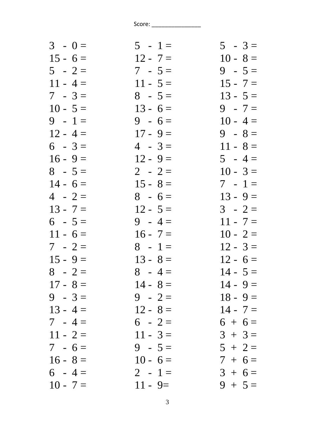| $3 - 0 =$  | $5 - 1 =$  | $5 - 3 =$  |
|------------|------------|------------|
| $15 - 6 =$ | $12 - 7 =$ | $10 - 8 =$ |
| $5 - 2 =$  | $7 - 5 =$  | $9 - 5 =$  |
| $11 - 4 =$ | $11 - 5 =$ | $15 - 7 =$ |
| $7 - 3 =$  | $8 - 5 =$  | $13 - 5 =$ |
| $10 - 5 =$ | $13 - 6 =$ | $9 - 7 =$  |
| $9 - 1 =$  | $9 - 6 =$  | $10 - 4 =$ |
| $12 - 4 =$ | $17 - 9 =$ | $9 - 8 =$  |
| $6 - 3 =$  | $4 - 3 =$  | $11 - 8 =$ |
| $16 - 9 =$ | $12 - 9 =$ | $5 - 4 =$  |
| $8 - 5 =$  | $2 - 2 =$  | $10 - 3 =$ |
| $14 - 6 =$ | $15 - 8 =$ | $7 - 1 =$  |
| $4 - 2 =$  | $8 - 6 =$  | $13 - 9 =$ |
| $13 - 7 =$ | $12 - 5 =$ | $3 - 2 =$  |
| $6 - 5 =$  | $9 - 4 =$  | $11 - 7 =$ |
| $11 - 6 =$ | $16 - 7 =$ | $10 - 2 =$ |
| $7 - 2 =$  | $8 - 1 =$  | $12 - 3 =$ |
| $15 - 9 =$ | $13 - 8 =$ | $12 - 6 =$ |
| $8 - 2 =$  | $8 - 4 =$  | $14 - 5 =$ |
| $17 - 8 =$ | $14 - 8 =$ | $14 - 9 =$ |
| $9 - 3 =$  | $9 - 2 =$  | $18 - 9 =$ |
| $13 - 4 =$ | $12 - 8 =$ | $14 - 7 =$ |
| $7 - 4 =$  | $6 - 2 =$  | $6 + 6 =$  |
| $11 - 2 =$ | $11 - 3 =$ | $3 + 3 =$  |
| $7 - 6 =$  | $9 - 5 =$  | $5 + 2 =$  |
| $16 - 8 =$ | $10 - 6 =$ | $7 + 6 =$  |
| $6 - 4 =$  | $2 - 1 =$  | $3 + 6 =$  |
| $10 - 7 =$ | $11 - 9 =$ | $9 + 5 =$  |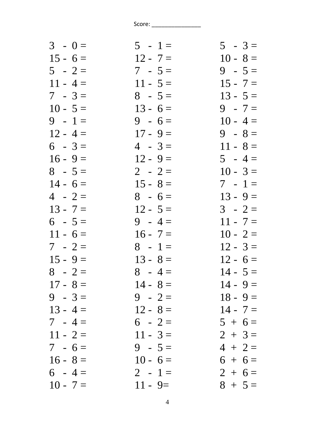| $3 - 0 =$  | $5 - 1 =$  | $5 - 3 =$  |
|------------|------------|------------|
| $15 - 6 =$ | $12 - 7 =$ | $10 - 8 =$ |
| $5 - 2 =$  | $7 - 5 =$  | $9 - 5 =$  |
| $11 - 4 =$ | $11 - 5 =$ | $15 - 7 =$ |
| $7 - 3 =$  | $8 - 5 =$  | $13 - 5 =$ |
| $10 - 5 =$ | $13 - 6 =$ | $9 - 7 =$  |
| $9 - 1 =$  | $9 - 6 =$  | $10 - 4 =$ |
| $12 - 4 =$ | $17 - 9 =$ | $9 - 8 =$  |
| $6 - 3 =$  | $4 - 3 =$  | $11 - 8 =$ |
| $16 - 9 =$ | $12 - 9 =$ | $5 - 4 =$  |
| $8 - 5 =$  | $2 - 2 =$  | $10 - 3 =$ |
| $14 - 6 =$ | $15 - 8 =$ | $7 - 1 =$  |
| $4 - 2 =$  | $8 - 6 =$  | $13 - 9 =$ |
| $13 - 7 =$ | $12 - 5 =$ | $3 - 2 =$  |
| $6 - 5 =$  | $9 - 4 =$  | $11 - 7 =$ |
| $11 - 6 =$ | $16 - 7 =$ | $10 - 2 =$ |
| $7 - 2 =$  | $8 - 1 =$  | $12 - 3 =$ |
| $15 - 9 =$ | $13 - 8 =$ | $12 - 6 =$ |
| $8 - 2 =$  | $8 - 4 =$  | $14 - 5 =$ |
| $17 - 8 =$ | $14 - 8 =$ | $14 - 9 =$ |
| $9 - 3 =$  | $9 - 2 =$  | $18 - 9 =$ |
| $13 - 4 =$ | $12 - 8 =$ | $14 - 7 =$ |
| $7 - 4 =$  | $6 - 2 =$  | $5 + 6 =$  |
| $11 - 2 =$ | $11 - 3 =$ | $2 + 3 =$  |
| $7 - 6 =$  | $9 - 5 =$  | $4 + 2 =$  |
| $16 - 8 =$ | $10 - 6 =$ | $6 + 6 =$  |
| $6 - 4 =$  | $2 - 1 =$  | $2 + 6 =$  |
| $10 - 7 =$ | $11 - 9 =$ | $8 + 5 =$  |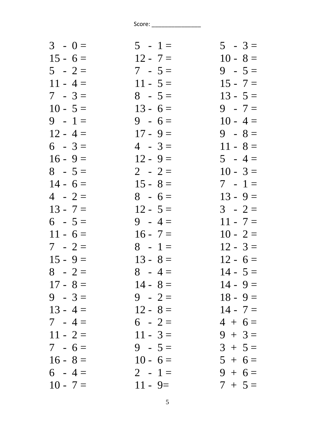| $3 - 0 =$  | $5 - 1 =$  | $5 - 3 =$  |
|------------|------------|------------|
| $15 - 6 =$ | $12 - 7 =$ | $10 - 8 =$ |
| $5 - 2 =$  | $7 - 5 =$  | $9 - 5 =$  |
| $11 - 4 =$ | $11 - 5 =$ | $15 - 7 =$ |
| $7 - 3 =$  | $8 - 5 =$  | $13 - 5 =$ |
| $10 - 5 =$ | $13 - 6 =$ | $9 - 7 =$  |
| $9 - 1 =$  | $9 - 6 =$  | $10 - 4 =$ |
| $12 - 4 =$ | $17 - 9 =$ | $9 - 8 =$  |
| $6 - 3 =$  | $4 - 3 =$  | $11 - 8 =$ |
| $16 - 9 =$ | $12 - 9 =$ | $5 - 4 =$  |
| $8 - 5 =$  | $2 - 2 =$  | $10 - 3 =$ |
| $14 - 6 =$ | $15 - 8 =$ | $7 - 1 =$  |
| $4 - 2 =$  | $8 - 6 =$  | $13 - 9 =$ |
| $13 - 7 =$ | $12 - 5 =$ | $3 - 2 =$  |
| $6 - 5 =$  | $9 - 4 =$  | $11 - 7 =$ |
| $11 - 6 =$ | $16 - 7 =$ | $10 - 2 =$ |
| $7 - 2 =$  | $8 - 1 =$  | $12 - 3 =$ |
| $15 - 9 =$ | $13 - 8 =$ | $12 - 6 =$ |
| $8 - 2 =$  | $8 - 4 =$  | $14 - 5 =$ |
| $17 - 8 =$ | $14 - 8 =$ | $14 - 9 =$ |
| $9 - 3 =$  | $9 - 2 =$  | $18 - 9 =$ |
| $13 - 4 =$ | $12 - 8 =$ | $14 - 7 =$ |
| $7 - 4 =$  | $6 - 2 =$  | $4 + 6 =$  |
| $11 - 2 =$ | $11 - 3 =$ | $9 + 3 =$  |
| $7 - 6 =$  | $9 - 5 =$  | $3 + 5 =$  |
| $16 - 8 =$ | $10 - 6 =$ | $5 + 6 =$  |
| $6 - 4 =$  | $2 - 1 =$  | $9 + 6 =$  |
| $10 - 7 =$ | $11 - 9 =$ | $7 + 5 =$  |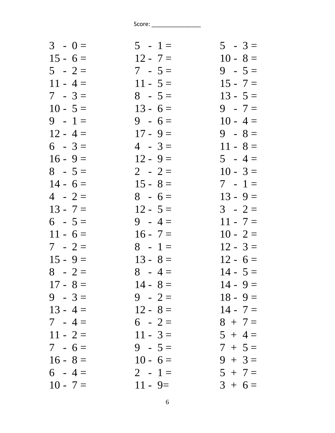| $3 - 0 =$  | $5 - 1 =$  | $5 - 3 =$  |
|------------|------------|------------|
| $15 - 6 =$ | $12 - 7 =$ | $10 - 8 =$ |
| $5 - 2 =$  | $7 - 5 =$  | $9 - 5 =$  |
| $11 - 4 =$ | $11 - 5 =$ | $15 - 7 =$ |
| $7 - 3 =$  | $8 - 5 =$  | $13 - 5 =$ |
| $10 - 5 =$ | $13 - 6 =$ | $9 - 7 =$  |
| $9 - 1 =$  | $9 - 6 =$  | $10 - 4 =$ |
| $12 - 4 =$ | $17 - 9 =$ | $9 - 8 =$  |
| $6 - 3 =$  | $4 - 3 =$  | $11 - 8 =$ |
| $16 - 9 =$ | $12 - 9 =$ | $5 - 4 =$  |
| $8 - 5 =$  | $2 - 2 =$  | $10 - 3 =$ |
| $14 - 6 =$ | $15 - 8 =$ | $7 - 1 =$  |
| $4 - 2 =$  | $8 - 6 =$  | $13 - 9 =$ |
| $13 - 7 =$ | $12 - 5 =$ | $3 - 2 =$  |
| $6 - 5 =$  | $9 - 4 =$  | $11 - 7 =$ |
| $11 - 6 =$ | $16 - 7 =$ | $10 - 2 =$ |
| $7 - 2 =$  | $8 - 1 =$  | $12 - 3 =$ |
| $15 - 9 =$ | $13 - 8 =$ | $12 - 6 =$ |
| $8 - 2 =$  | $8 - 4 =$  | $14 - 5 =$ |
| $17 - 8 =$ | $14 - 8 =$ | $14 - 9 =$ |
| $9 - 3 =$  | $9 - 2 =$  | $18 - 9 =$ |
| $13 - 4 =$ | $12 - 8 =$ | $14 - 7 =$ |
| $7 - 4 =$  | $6 - 2 =$  | $8 + 7 =$  |
| $11 - 2 =$ | $11 - 3 =$ | $5 + 4 =$  |
| $7 - 6 =$  | $9 - 5 =$  | $7 + 5 =$  |
| $16 - 8 =$ | $10 - 6 =$ | $9 + 3 =$  |
| $6 - 4 =$  | $2 - 1 =$  | $5 + 7 =$  |
| $10 - 7 =$ | $11 - 9 =$ | $3 + 6 =$  |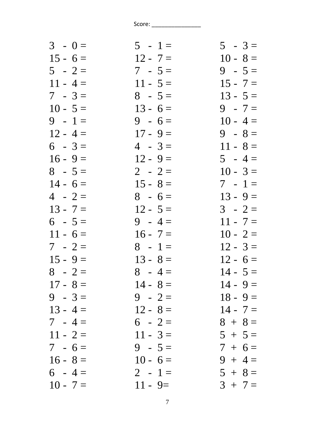| $3 - 0 =$  | $5 - 1 =$  | $5 - 3 =$  |
|------------|------------|------------|
| $15 - 6 =$ | $12 - 7 =$ | $10 - 8 =$ |
| $5 - 2 =$  | $7 - 5 =$  | $9 - 5 =$  |
| $11 - 4 =$ | $11 - 5 =$ | $15 - 7 =$ |
| $7 - 3 =$  | $8 - 5 =$  | $13 - 5 =$ |
| $10 - 5 =$ | $13 - 6 =$ | $9 - 7 =$  |
| $9 - 1 =$  | $9 - 6 =$  | $10 - 4 =$ |
| $12 - 4 =$ | $17 - 9 =$ | $9 - 8 =$  |
| $6 - 3 =$  | $4 - 3 =$  | $11 - 8 =$ |
| $16 - 9 =$ | $12 - 9 =$ | $5 - 4 =$  |
| $8 - 5 =$  | $2 - 2 =$  | $10 - 3 =$ |
| $14 - 6 =$ | $15 - 8 =$ | $7 - 1 =$  |
| $4 - 2 =$  | $8 - 6 =$  | $13 - 9 =$ |
| $13 - 7 =$ | $12 - 5 =$ | $3 - 2 =$  |
| $6 - 5 =$  | $9 - 4 =$  | $11 - 7 =$ |
| $11 - 6 =$ | $16 - 7 =$ | $10 - 2 =$ |
| $7 - 2 =$  | $8 - 1 =$  | $12 - 3 =$ |
| $15 - 9 =$ | $13 - 8 =$ | $12 - 6 =$ |
| $8 - 2 =$  | $8 - 4 =$  | $14 - 5 =$ |
| $17 - 8 =$ | $14 - 8 =$ | $14 - 9 =$ |
| $9 - 3 =$  | $9 - 2 =$  | $18 - 9 =$ |
| $13 - 4 =$ | $12 - 8 =$ | $14 - 7 =$ |
| $7 - 4 =$  | $6 - 2 =$  | $8 + 8 =$  |
| $11 - 2 =$ | $11 - 3 =$ | $5 + 5 =$  |
| $7 - 6 =$  | $9 - 5 =$  | $7 + 6 =$  |
| $16 - 8 =$ | $10 - 6 =$ | $9 + 4 =$  |
| $6 - 4 =$  | $2 - 1 =$  | $5 + 8 =$  |
| $10 - 7 =$ | $11 - 9 =$ | $3 + 7 =$  |
|            |            |            |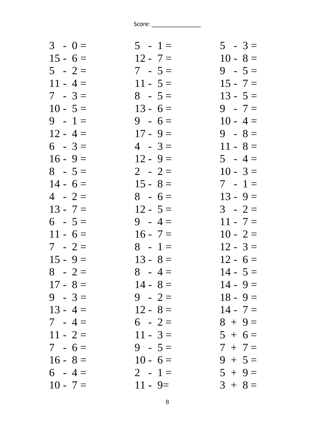| $3 - 0 =$  | $5 - 1 =$  | $5 - 3 =$  |
|------------|------------|------------|
| $15 - 6 =$ | $12 - 7 =$ | $10 - 8 =$ |
| $5 - 2 =$  | $7 - 5 =$  | $9 - 5 =$  |
| $11 - 4 =$ | $11 - 5 =$ | $15 - 7 =$ |
| $7 - 3 =$  | $8 - 5 =$  | $13 - 5 =$ |
| $10 - 5 =$ | $13 - 6 =$ | $9 - 7 =$  |
| $9 - 1 =$  | $9 - 6 =$  | $10 - 4 =$ |
| $12 - 4 =$ | $17 - 9 =$ | $9 - 8 =$  |
| $6 - 3 =$  | $4 - 3 =$  | $11 - 8 =$ |
| $16 - 9 =$ | $12 - 9 =$ | $5 - 4 =$  |
| $8 - 5 =$  | $2 - 2 =$  | $10 - 3 =$ |
| $14 - 6 =$ | $15 - 8 =$ | $7 - 1 =$  |
| $4 - 2 =$  | $8 - 6 =$  | $13 - 9 =$ |
| $13 - 7 =$ | $12 - 5 =$ | $3 - 2 =$  |
| $6 - 5 =$  | $9 - 4 =$  | $11 - 7 =$ |
| $11 - 6 =$ | $16 - 7 =$ | $10 - 2 =$ |
| $7 - 2 =$  | $8 - 1 =$  | $12 - 3 =$ |
| $15 - 9 =$ | $13 - 8 =$ | $12 - 6 =$ |
| $8 - 2 =$  | $8 - 4 =$  | $14 - 5 =$ |
| $17 - 8 =$ | $14 - 8 =$ | $14 - 9 =$ |
| $9 - 3 =$  | $9 - 2 =$  | $18 - 9 =$ |
| $13 - 4 =$ | $12 - 8 =$ | $14 - 7 =$ |
| $7 - 4 =$  | $6 - 2 =$  | $8 + 9 =$  |
| $11 - 2 =$ | $11 - 3 =$ | $5 + 6 =$  |
| $7 - 6 =$  | $9 - 5 =$  | $7 + 7 =$  |
| $16 - 8 =$ | $10 - 6 =$ | $9 + 5 =$  |
| $6 - 4 =$  | $2 - 1 =$  | $5 + 9 =$  |
| $10 - 7 =$ | $11 - 9 =$ | $3 + 8 =$  |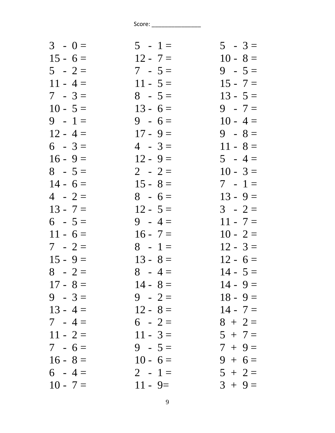| $3 - 0 =$  | $5 - 1 =$  | $5 - 3 =$  |
|------------|------------|------------|
| $15 - 6 =$ | $12 - 7 =$ | $10 - 8 =$ |
| $5 - 2 =$  | $7 - 5 =$  | $9 - 5 =$  |
| $11 - 4 =$ | $11 - 5 =$ | $15 - 7 =$ |
| $7 - 3 =$  | $8 - 5 =$  | $13 - 5 =$ |
| $10 - 5 =$ | $13 - 6 =$ | $9 - 7 =$  |
| $9 - 1 =$  | $9 - 6 =$  | $10 - 4 =$ |
| $12 - 4 =$ | $17 - 9 =$ | $9 - 8 =$  |
| $6 - 3 =$  | $4 - 3 =$  | $11 - 8 =$ |
| $16 - 9 =$ | $12 - 9 =$ | $5 - 4 =$  |
| $8 - 5 =$  | $2 - 2 =$  | $10 - 3 =$ |
| $14 - 6 =$ | $15 - 8 =$ | $7 - 1 =$  |
| $4 - 2 =$  | $8 - 6 =$  | $13 - 9 =$ |
| $13 - 7 =$ | $12 - 5 =$ | $3 - 2 =$  |
| $6 - 5 =$  | $9 - 4 =$  | $11 - 7 =$ |
| $11 - 6 =$ | $16 - 7 =$ | $10 - 2 =$ |
| $7 - 2 =$  | $8 - 1 =$  | $12 - 3 =$ |
| $15 - 9 =$ | $13 - 8 =$ | $12 - 6 =$ |
| $8 - 2 =$  | $8 - 4 =$  | $14 - 5 =$ |
| $17 - 8 =$ | $14 - 8 =$ | $14 - 9 =$ |
| $9 - 3 =$  | $9 - 2 =$  | $18 - 9 =$ |
| $13 - 4 =$ | $12 - 8 =$ | $14 - 7 =$ |
| $7 - 4 =$  | $6 - 2 =$  | $8 + 2 =$  |
| $11 - 2 =$ | $11 - 3 =$ | $5 + 7 =$  |
| $7 - 6 =$  | $9 - 5 =$  | $7 + 9 =$  |
| $16 - 8 =$ | $10 - 6 =$ | $9 + 6 =$  |
| $6 - 4 =$  | $2 - 1 =$  | $5 + 2 =$  |
| $10 - 7 =$ | $11 - 9 =$ | $3 + 9 =$  |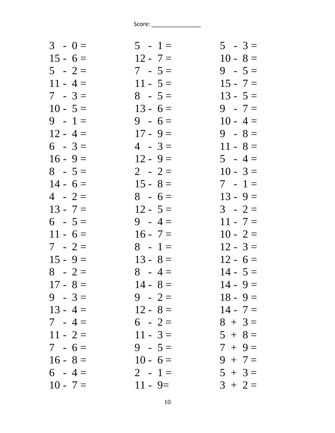| $3 - 0 =$  | $5 - 1 =$  | $5 - 3 =$  |
|------------|------------|------------|
| $15 - 6 =$ | $12 - 7 =$ | $10 - 8 =$ |
| $5 - 2 =$  | $7 - 5 =$  | $9 - 5 =$  |
| $11 - 4 =$ | $11 - 5 =$ | $15 - 7 =$ |
| $7 - 3 =$  | $8 - 5 =$  | $13 - 5 =$ |
| $10 - 5 =$ | $13 - 6 =$ | $9 - 7 =$  |
| $9 - 1 =$  | $9 - 6 =$  | $10 - 4 =$ |
| $12 - 4 =$ | $17 - 9 =$ | $9 - 8 =$  |
| $6 - 3 =$  | $4 - 3 =$  | $11 - 8 =$ |
| $16 - 9 =$ | $12 - 9 =$ | $5 - 4 =$  |
| $8 - 5 =$  | $2 - 2 =$  | $10 - 3 =$ |
| $14 - 6 =$ | $15 - 8 =$ | $7 - 1 =$  |
| $4 - 2 =$  | $8 - 6 =$  | $13 - 9 =$ |
| $13 - 7 =$ | $12 - 5 =$ | $3 - 2 =$  |
| $6 - 5 =$  | $9 - 4 =$  | $11 - 7 =$ |
| $11 - 6 =$ | $16 - 7 =$ | $10 - 2 =$ |
| $7 - 2 =$  | $8 - 1 =$  | $12 - 3 =$ |
| $15 - 9 =$ | $13 - 8 =$ | $12 - 6 =$ |
| $8 - 2 =$  | $8 - 4 =$  | $14 - 5 =$ |
| $17 - 8 =$ | $14 - 8 =$ | $14 - 9 =$ |
| $9 - 3 =$  | $9 - 2 =$  | $18 - 9 =$ |
| $13 - 4 =$ | $12 - 8 =$ | $14 - 7 =$ |
| $7 - 4 =$  | $6 - 2 =$  | $8 + 3 =$  |
| $11 - 2 =$ | $11 - 3 =$ | $5 + 8 =$  |
| $7 - 6 =$  | $9 - 5 =$  | $7 + 9 =$  |
| $16 - 8 =$ | $10 - 6 =$ | $9 + 7 =$  |
| $6 - 4 =$  | $2 - 1 =$  | $5 + 3 =$  |
| $10 - 7 =$ | $11 - 9 =$ | $3 + 2 =$  |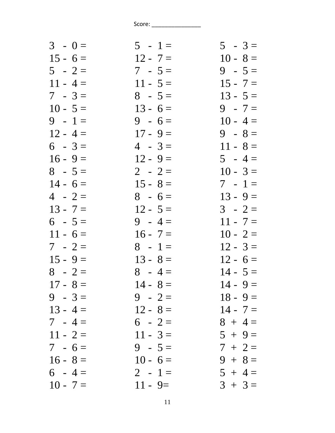| $3 - 0 =$  | $5 - 1 =$  | $5 - 3 =$  |
|------------|------------|------------|
| $15 - 6 =$ | $12 - 7 =$ | $10 - 8 =$ |
| $5 - 2 =$  | $7 - 5 =$  | $9 - 5 =$  |
| $11 - 4 =$ | $11 - 5 =$ | $15 - 7 =$ |
| $7 - 3 =$  | $8 - 5 =$  | $13 - 5 =$ |
| $10 - 5 =$ | $13 - 6 =$ | $9 - 7 =$  |
| $9 - 1 =$  | $9 - 6 =$  | $10 - 4 =$ |
| $12 - 4 =$ | $17 - 9 =$ | $9 - 8 =$  |
| $6 - 3 =$  | $4 - 3 =$  | $11 - 8 =$ |
| $16 - 9 =$ | $12 - 9 =$ | $5 - 4 =$  |
| $8 - 5 =$  | $2 - 2 =$  | $10 - 3 =$ |
| $14 - 6 =$ | $15 - 8 =$ | $7 - 1 =$  |
| $4 - 2 =$  | $8 - 6 =$  | $13 - 9 =$ |
| $13 - 7 =$ | $12 - 5 =$ | $3 - 2 =$  |
| $6 - 5 =$  | $9 - 4 =$  | $11 - 7 =$ |
| $11 - 6 =$ | $16 - 7 =$ | $10 - 2 =$ |
| $7 - 2 =$  | $8 - 1 =$  | $12 - 3 =$ |
| $15 - 9 =$ | $13 - 8 =$ | $12 - 6 =$ |
| $8 - 2 =$  | $8 - 4 =$  | $14 - 5 =$ |
| $17 - 8 =$ | $14 - 8 =$ | $14 - 9 =$ |
| $9 - 3 =$  | $9 - 2 =$  | $18 - 9 =$ |
| $13 - 4 =$ | $12 - 8 =$ | $14 - 7 =$ |
| $7 - 4 =$  | $6 - 2 =$  | $8 + 4 =$  |
| $11 - 2 =$ | $11 - 3 =$ | $5 + 9 =$  |
| $7 - 6 =$  | $9 - 5 =$  | $7 + 2 =$  |
| $16 - 8 =$ | $10 - 6 =$ | $9 + 8 =$  |
| $6 - 4 =$  | $2 - 1 =$  | $5 + 4 =$  |
| $10 - 7 =$ | $11 - 9 =$ | $3 + 3 =$  |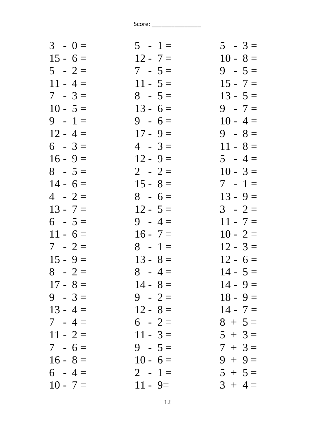| $5 - 1 =$  | $5 - 3 =$  |
|------------|------------|
| $12 - 7 =$ | $10 - 8 =$ |
| $7 - 5 =$  | $9 - 5 =$  |
| $11 - 5 =$ | $15 - 7 =$ |
| $8 - 5 =$  | $13 - 5 =$ |
| $13 - 6 =$ | $9 - 7 =$  |
| $9 - 6 =$  | $10 - 4 =$ |
| $17 - 9 =$ | $9 - 8 =$  |
| $4 - 3 =$  | $11 - 8 =$ |
| $12 - 9 =$ | $5 - 4 =$  |
| $2 - 2 =$  | $10 - 3 =$ |
| $15 - 8 =$ | $7 - 1 =$  |
| $8 - 6 =$  | $13 - 9 =$ |
| $12 - 5 =$ | $3 - 2 =$  |
| $9 - 4 =$  | $11 - 7 =$ |
| $16 - 7 =$ | $10 - 2 =$ |
| $8 - 1 =$  | $12 - 3 =$ |
| $13 - 8 =$ | $12 - 6 =$ |
| $8 - 4 =$  | $14 - 5 =$ |
| $14 - 8 =$ | $14 - 9 =$ |
| $9 - 2 =$  | $18 - 9 =$ |
| $12 - 8 =$ | $14 - 7 =$ |
| $6 - 2 =$  | $8 + 5 =$  |
| $11 - 3 =$ | $5 + 3 =$  |
| $9 - 5 =$  | $7 + 3 =$  |
| $10 - 6 =$ | $9 + 9 =$  |
| $2 - 1 =$  | $5 + 5 =$  |
| $11 - 9 =$ | $3 + 4 =$  |
|            |            |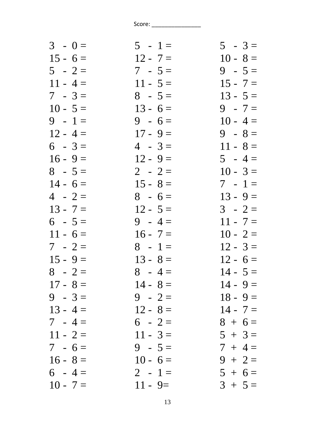| $3 - 0 =$  | $5 - 1 =$  | $5 - 3 =$  |
|------------|------------|------------|
| $15 - 6 =$ | $12 - 7 =$ | $10 - 8 =$ |
| $5 - 2 =$  | $7 - 5 =$  | $9 - 5 =$  |
| $11 - 4 =$ | $11 - 5 =$ | $15 - 7 =$ |
| $7 - 3 =$  | $8 - 5 =$  | $13 - 5 =$ |
| $10 - 5 =$ | $13 - 6 =$ | $9 - 7 =$  |
| $9 - 1 =$  | $9 - 6 =$  | $10 - 4 =$ |
| $12 - 4 =$ | $17 - 9 =$ | $9 - 8 =$  |
| $6 - 3 =$  | $4 - 3 =$  | $11 - 8 =$ |
| $16 - 9 =$ | $12 - 9 =$ | $5 - 4 =$  |
| $8 - 5 =$  | $2 - 2 =$  | $10 - 3 =$ |
| $14 - 6 =$ | $15 - 8 =$ | $7 - 1 =$  |
| $4 - 2 =$  | $8 - 6 =$  | $13 - 9 =$ |
| $13 - 7 =$ | $12 - 5 =$ | $3 - 2 =$  |
| $6 - 5 =$  | $9 - 4 =$  | $11 - 7 =$ |
| $11 - 6 =$ | $16 - 7 =$ | $10 - 2 =$ |
| $7 - 2 =$  | $8 - 1 =$  | $12 - 3 =$ |
| $15 - 9 =$ | $13 - 8 =$ | $12 - 6 =$ |
| $8 - 2 =$  | $8 - 4 =$  | $14 - 5 =$ |
| $17 - 8 =$ | $14 - 8 =$ | $14 - 9 =$ |
| $9 - 3 =$  | $9 - 2 =$  | $18 - 9 =$ |
| $13 - 4 =$ | $12 - 8 =$ | $14 - 7 =$ |
| $7 - 4 =$  | $6 - 2 =$  | $8 + 6 =$  |
| $11 - 2 =$ | $11 - 3 =$ | $5 + 3 =$  |
| $7 - 6 =$  | $9 - 5 =$  | $7 + 4 =$  |
| $16 - 8 =$ | $10 - 6 =$ | $9 + 2 =$  |
| $6 - 4 =$  | $2 - 1 =$  | $5 + 6 =$  |
| $10 - 7 =$ | $11 - 9 =$ | $3 + 5 =$  |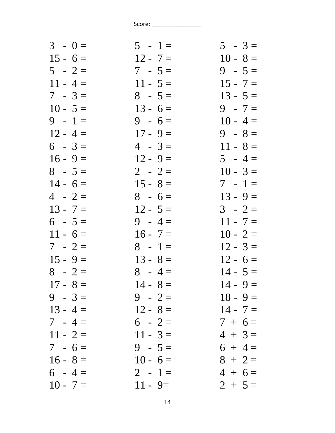| $3 - 0 =$  | $5 - 1 =$  | $5 - 3 =$  |
|------------|------------|------------|
| $15 - 6 =$ | $12 - 7 =$ | $10 - 8 =$ |
| $5 - 2 =$  | $7 - 5 =$  | $9 - 5 =$  |
| $11 - 4 =$ | $11 - 5 =$ | $15 - 7 =$ |
| $7 - 3 =$  | $8 - 5 =$  | $13 - 5 =$ |
| $10 - 5 =$ | $13 - 6 =$ | $9 - 7 =$  |
| $9 - 1 =$  | $9 - 6 =$  | $10 - 4 =$ |
| $12 - 4 =$ | $17 - 9 =$ | $9 - 8 =$  |
| $6 - 3 =$  | $4 - 3 =$  | $11 - 8 =$ |
| $16 - 9 =$ | $12 - 9 =$ | $5 - 4 =$  |
| $8 - 5 =$  | $2 - 2 =$  | $10 - 3 =$ |
| $14 - 6 =$ | $15 - 8 =$ | $7 - 1 =$  |
| $4 - 2 =$  | $8 - 6 =$  | $13 - 9 =$ |
| $13 - 7 =$ | $12 - 5 =$ | $3 - 2 =$  |
| $6 - 5 =$  | $9 - 4 =$  | $11 - 7 =$ |
| $11 - 6 =$ | $16 - 7 =$ | $10 - 2 =$ |
| $7 - 2 =$  | $8 - 1 =$  | $12 - 3 =$ |
| $15 - 9 =$ | $13 - 8 =$ | $12 - 6 =$ |
| $8 - 2 =$  | $8 - 4 =$  | $14 - 5 =$ |
| $17 - 8 =$ | $14 - 8 =$ | $14 - 9 =$ |
| $9 - 3 =$  | $9 - 2 =$  | $18 - 9 =$ |
| $13 - 4 =$ | $12 - 8 =$ | $14 - 7 =$ |
| $7 - 4 =$  | $6 - 2 =$  | $7 + 6 =$  |
| $11 - 2 =$ | $11 - 3 =$ | $4 + 3 =$  |
| $7 - 6 =$  | $9 - 5 =$  | $6 + 4 =$  |
| $16 - 8 =$ | $10 - 6 =$ | $8 + 2 =$  |
| $6 - 4 =$  | $2 - 1 =$  | $4 + 6 =$  |
| $10 - 7 =$ | $11 - 9 =$ | $2 + 5 =$  |
|            |            |            |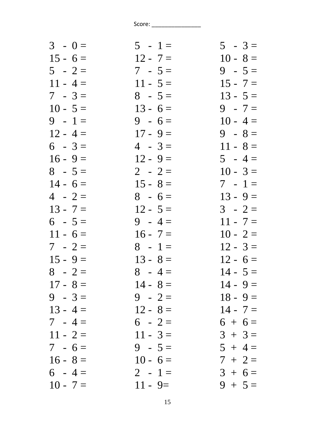| $3 - 0 =$  | $5 - 1 =$  | $5 - 3 =$  |
|------------|------------|------------|
| $15 - 6 =$ | $12 - 7 =$ | $10 - 8 =$ |
| $5 - 2 =$  | $7 - 5 =$  | $9 - 5 =$  |
| $11 - 4 =$ | $11 - 5 =$ | $15 - 7 =$ |
| $7 - 3 =$  | $8 - 5 =$  | $13 - 5 =$ |
| $10 - 5 =$ | $13 - 6 =$ | $9 - 7 =$  |
| $9 - 1 =$  | $9 - 6 =$  | $10 - 4 =$ |
| $12 - 4 =$ | $17 - 9 =$ | $9 - 8 =$  |
| $6 - 3 =$  | $4 - 3 =$  | $11 - 8 =$ |
| $16 - 9 =$ | $12 - 9 =$ | $5 - 4 =$  |
| $8 - 5 =$  | $2 - 2 =$  | $10 - 3 =$ |
| $14 - 6 =$ | $15 - 8 =$ | $7 - 1 =$  |
| $4 - 2 =$  | $8 - 6 =$  | $13 - 9 =$ |
| $13 - 7 =$ | $12 - 5 =$ | $3 - 2 =$  |
| $6 - 5 =$  | $9 - 4 =$  | $11 - 7 =$ |
| $11 - 6 =$ | $16 - 7 =$ | $10 - 2 =$ |
| $7 - 2 =$  | $8 - 1 =$  | $12 - 3 =$ |
| $15 - 9 =$ | $13 - 8 =$ | $12 - 6 =$ |
| $8 - 2 =$  | $8 - 4 =$  | $14 - 5 =$ |
| $17 - 8 =$ | $14 - 8 =$ | $14 - 9 =$ |
| $9 - 3 =$  | $9 - 2 =$  | $18 - 9 =$ |
| $13 - 4 =$ | $12 - 8 =$ | $14 - 7 =$ |
| $7 - 4 =$  | $6 - 2 =$  | $6 + 6 =$  |
| $11 - 2 =$ | $11 - 3 =$ | $3 + 3 =$  |
| $7 - 6 =$  | $9 - 5 =$  | $5 + 4 =$  |
| $16 - 8 =$ | $10 - 6 =$ | $7 + 2 =$  |
| $6 - 4 =$  | $2 - 1 =$  | $3 + 6 =$  |
| $10 - 7 =$ | $11 - 9 =$ | $9 + 5 =$  |
|            |            |            |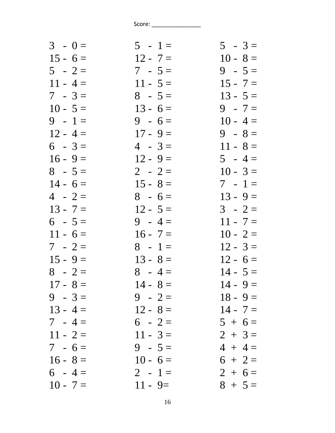| $3 - 0 =$  | $5 - 1 =$  | $5 - 3 =$  |
|------------|------------|------------|
| $15 - 6 =$ | $12 - 7 =$ | $10 - 8 =$ |
| $5 - 2 =$  | $7 - 5 =$  | $9 - 5 =$  |
| $11 - 4 =$ | $11 - 5 =$ | $15 - 7 =$ |
| $7 - 3 =$  | $8 - 5 =$  | $13 - 5 =$ |
| $10 - 5 =$ | $13 - 6 =$ | $9 - 7 =$  |
| $9 - 1 =$  | $9 - 6 =$  | $10 - 4 =$ |
| $12 - 4 =$ | $17 - 9 =$ | $9 - 8 =$  |
| $6 - 3 =$  | $4 - 3 =$  | $11 - 8 =$ |
| $16 - 9 =$ | $12 - 9 =$ | $5 - 4 =$  |
| $8 - 5 =$  | $2 - 2 =$  | $10 - 3 =$ |
| $14 - 6 =$ | $15 - 8 =$ | $7 - 1 =$  |
| $4 - 2 =$  | $8 - 6 =$  | $13 - 9 =$ |
| $13 - 7 =$ | $12 - 5 =$ | $3 - 2 =$  |
| $6 - 5 =$  | $9 - 4 =$  | $11 - 7 =$ |
| $11 - 6 =$ | $16 - 7 =$ | $10 - 2 =$ |
| $7 - 2 =$  | $8 - 1 =$  | $12 - 3 =$ |
| $15 - 9 =$ | $13 - 8 =$ | $12 - 6 =$ |
| $8 - 2 =$  | $8 - 4 =$  | $14 - 5 =$ |
| $17 - 8 =$ | $14 - 8 =$ | $14 - 9 =$ |
| $9 - 3 =$  | $9 - 2 =$  | $18 - 9 =$ |
| $13 - 4 =$ | $12 - 8 =$ | $14 - 7 =$ |
| $7 - 4 =$  | $6 - 2 =$  | $5 + 6 =$  |
| $11 - 2 =$ | $11 - 3 =$ | $2 + 3 =$  |
| $7 - 6 =$  | $9 - 5 =$  | $4 + 4 =$  |
| $16 - 8 =$ | $10 - 6 =$ | $6 + 2 =$  |
| $6 - 4 =$  | $2 - 1 =$  | $2 + 6 =$  |
| $10 - 7 =$ | $11 - 9 =$ | $8 + 5 =$  |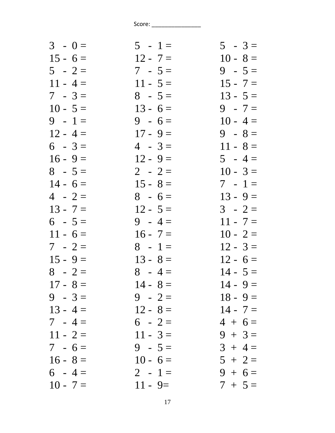| $3 - 0 =$  | $5 - 1 =$  | $5 - 3 =$  |
|------------|------------|------------|
| $15 - 6 =$ | $12 - 7 =$ | $10 - 8 =$ |
| $5 - 2 =$  | $7 - 5 =$  | $9 - 5 =$  |
| $11 - 4 =$ | $11 - 5 =$ | $15 - 7 =$ |
| $7 - 3 =$  | $8 - 5 =$  | $13 - 5 =$ |
| $10 - 5 =$ | $13 - 6 =$ | $9 - 7 =$  |
| $9 - 1 =$  | $9 - 6 =$  | $10 - 4 =$ |
| $12 - 4 =$ | $17 - 9 =$ | $9 - 8 =$  |
| $6 - 3 =$  | $4 - 3 =$  | $11 - 8 =$ |
| $16 - 9 =$ | $12 - 9 =$ | $5 - 4 =$  |
| $8 - 5 =$  | $2 - 2 =$  | $10 - 3 =$ |
| $14 - 6 =$ | $15 - 8 =$ | $7 - 1 =$  |
| $4 - 2 =$  | $8 - 6 =$  | $13 - 9 =$ |
| $13 - 7 =$ | $12 - 5 =$ | $3 - 2 =$  |
| $6 - 5 =$  | $9 - 4 =$  | $11 - 7 =$ |
| $11 - 6 =$ | $16 - 7 =$ | $10 - 2 =$ |
| $7 - 2 =$  | $8 - 1 =$  | $12 - 3 =$ |
| $15 - 9 =$ | $13 - 8 =$ | $12 - 6 =$ |
| $8 - 2 =$  | $8 - 4 =$  | $14 - 5 =$ |
| $17 - 8 =$ | $14 - 8 =$ | $14 - 9 =$ |
| $9 - 3 =$  | $9 - 2 =$  | $18 - 9 =$ |
| $13 - 4 =$ | $12 - 8 =$ | $14 - 7 =$ |
| $7 - 4 =$  | $6 - 2 =$  | $4 + 6 =$  |
| $11 - 2 =$ | $11 - 3 =$ | $9 + 3 =$  |
| $7 - 6 =$  | $9 - 5 =$  | $3 + 4 =$  |
| $16 - 8 =$ | $10 - 6 =$ | $5 + 2 =$  |
| $6 - 4 =$  | $2 - 1 =$  | $9 + 6 =$  |
| $10 - 7 =$ | $11 - 9 =$ | $7 + 5 =$  |
|            |            |            |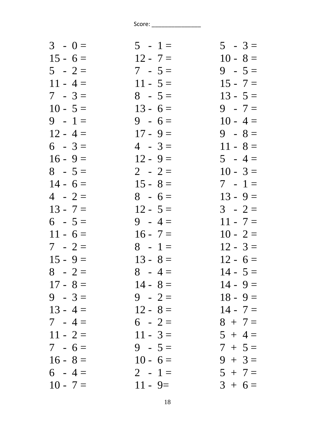| $3 - 0 =$  | $5 - 1 =$  | $5 - 3 =$  |
|------------|------------|------------|
| $15 - 6 =$ | $12 - 7 =$ | $10 - 8 =$ |
| $5 - 2 =$  | $7 - 5 =$  | $9 - 5 =$  |
| $11 - 4 =$ | $11 - 5 =$ | $15 - 7 =$ |
| $7 - 3 =$  | $8 - 5 =$  | $13 - 5 =$ |
| $10 - 5 =$ | $13 - 6 =$ | $9 - 7 =$  |
| $9 - 1 =$  | $9 - 6 =$  | $10 - 4 =$ |
| $12 - 4 =$ | $17 - 9 =$ | $9 - 8 =$  |
| $6 - 3 =$  | $4 - 3 =$  | $11 - 8 =$ |
| $16 - 9 =$ | $12 - 9 =$ | $5 - 4 =$  |
| $8 - 5 =$  | $2 - 2 =$  | $10 - 3 =$ |
| $14 - 6 =$ | $15 - 8 =$ | $7 - 1 =$  |
| $4 - 2 =$  | $8 - 6 =$  | $13 - 9 =$ |
| $13 - 7 =$ | $12 - 5 =$ | $3 - 2 =$  |
| $6 - 5 =$  | $9 - 4 =$  | $11 - 7 =$ |
| $11 - 6 =$ | $16 - 7 =$ | $10 - 2 =$ |
| $7 - 2 =$  | $8 - 1 =$  | $12 - 3 =$ |
| $15 - 9 =$ | $13 - 8 =$ | $12 - 6 =$ |
| $8 - 2 =$  | $8 - 4 =$  | $14 - 5 =$ |
| $17 - 8 =$ | $14 - 8 =$ | $14 - 9 =$ |
| $9 - 3 =$  | $9 - 2 =$  | $18 - 9 =$ |
| $13 - 4 =$ | $12 - 8 =$ | $14 - 7 =$ |
| $7 - 4 =$  | $6 - 2 =$  | $8 + 7 =$  |
| $11 - 2 =$ | $11 - 3 =$ | $5 + 4 =$  |
| $7 - 6 =$  | $9 - 5 =$  | $7 + 5 =$  |
| $16 - 8 =$ | $10 - 6 =$ | $9 + 3 =$  |
| $6 - 4 =$  | $2 - 1 =$  | $5 + 7 =$  |
| $10 - 7 =$ | $11 - 9 =$ | $3 + 6 =$  |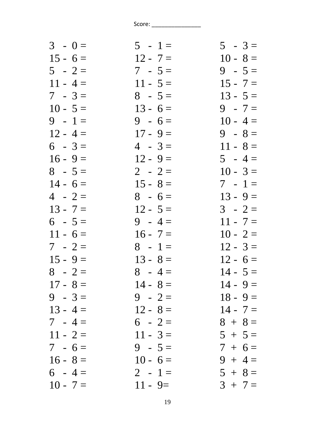| $3 - 0 =$  | $5 - 1 =$  | $5 - 3 =$  |
|------------|------------|------------|
| $15 - 6 =$ | $12 - 7 =$ | $10 - 8 =$ |
| $5 - 2 =$  | $7 - 5 =$  | $9 - 5 =$  |
| $11 - 4 =$ | $11 - 5 =$ | $15 - 7 =$ |
| $7 - 3 =$  | $8 - 5 =$  | $13 - 5 =$ |
| $10 - 5 =$ | $13 - 6 =$ | $9 - 7 =$  |
| $9 - 1 =$  | $9 - 6 =$  | $10 - 4 =$ |
| $12 - 4 =$ | $17 - 9 =$ | $9 - 8 =$  |
| $6 - 3 =$  | $4 - 3 =$  | $11 - 8 =$ |
| $16 - 9 =$ | $12 - 9 =$ | $5 - 4 =$  |
| $8 - 5 =$  | $2 - 2 =$  | $10 - 3 =$ |
| $14 - 6 =$ | $15 - 8 =$ | $7 - 1 =$  |
| $4 - 2 =$  | $8 - 6 =$  | $13 - 9 =$ |
| $13 - 7 =$ | $12 - 5 =$ | $3 - 2 =$  |
| $6 - 5 =$  | $9 - 4 =$  | $11 - 7 =$ |
| $11 - 6 =$ | $16 - 7 =$ | $10 - 2 =$ |
| $7 - 2 =$  | $8 - 1 =$  | $12 - 3 =$ |
| $15 - 9 =$ | $13 - 8 =$ | $12 - 6 =$ |
| $8 - 2 =$  | $8 - 4 =$  | $14 - 5 =$ |
| $17 - 8 =$ | $14 - 8 =$ | $14 - 9 =$ |
| $9 - 3 =$  | $9 - 2 =$  | $18 - 9 =$ |
| $13 - 4 =$ | $12 - 8 =$ | $14 - 7 =$ |
| $7 - 4 =$  | $6 - 2 =$  | $8 + 8 =$  |
| $11 - 2 =$ | $11 - 3 =$ | $5 + 5 =$  |
| $7 - 6 =$  | $9 - 5 =$  | $7 + 6 =$  |
| $16 - 8 =$ | $10 - 6 =$ | $9 + 4 =$  |
| $6 - 4 =$  | $2 - 1 =$  | $5 + 8 =$  |
| $10 - 7 =$ | $11 - 9 =$ | $3 + 7 =$  |
|            |            |            |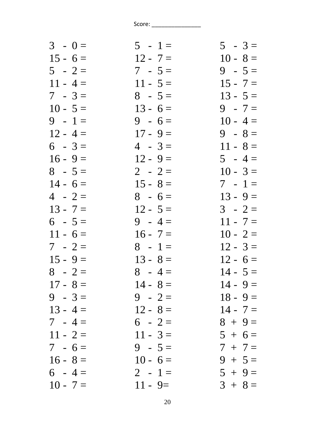| $5 - 1 =$  | $5 - 3 =$  |
|------------|------------|
| $12 - 7 =$ | $10 - 8 =$ |
| $7 - 5 =$  | $9 - 5 =$  |
| $11 - 5 =$ | $15 - 7 =$ |
| $8 - 5 =$  | $13 - 5 =$ |
| $13 - 6 =$ | $9 - 7 =$  |
| $9 - 6 =$  | $10 - 4 =$ |
| $17 - 9 =$ | $9 - 8 =$  |
| $4 - 3 =$  | $11 - 8 =$ |
| $12 - 9 =$ | $5 - 4 =$  |
| $2 - 2 =$  | $10 - 3 =$ |
| $15 - 8 =$ | $7 - 1 =$  |
| $8 - 6 =$  | $13 - 9 =$ |
| $12 - 5 =$ | $3 - 2 =$  |
| $9 - 4 =$  | $11 - 7 =$ |
| $16 - 7 =$ | $10 - 2 =$ |
| $8 - 1 =$  | $12 - 3 =$ |
| $13 - 8 =$ | $12 - 6 =$ |
| $8 - 4 =$  | $14 - 5 =$ |
| $14 - 8 =$ | $14 - 9 =$ |
| $9 - 2 =$  | $18 - 9 =$ |
| $12 - 8 =$ | $14 - 7 =$ |
| $6 - 2 =$  | $8 + 9 =$  |
| $11 - 3 =$ | $5 + 6 =$  |
| $9 - 5 =$  | $7 + 7 =$  |
| $10 - 6 =$ | $9 + 5 =$  |
| $2 - 1 =$  | $5 + 9 =$  |
| $11 - 9 =$ | $3 + 8 =$  |
|            |            |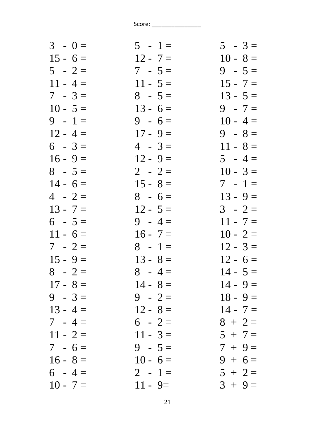| $3 - 0 =$  | $5 - 1 =$  | $5 - 3 =$  |
|------------|------------|------------|
| $15 - 6 =$ | $12 - 7 =$ | $10 - 8 =$ |
| $5 - 2 =$  | $7 - 5 =$  | $9 - 5 =$  |
| $11 - 4 =$ | $11 - 5 =$ | $15 - 7 =$ |
| $7 - 3 =$  | $8 - 5 =$  | $13 - 5 =$ |
| $10 - 5 =$ | $13 - 6 =$ | $9 - 7 =$  |
| $9 - 1 =$  | $9 - 6 =$  | $10 - 4 =$ |
| $12 - 4 =$ | $17 - 9 =$ | $9 - 8 =$  |
| $6 - 3 =$  | $4 - 3 =$  | $11 - 8 =$ |
| $16 - 9 =$ | $12 - 9 =$ | $5 - 4 =$  |
| $8 - 5 =$  | $2 - 2 =$  | $10 - 3 =$ |
| $14 - 6 =$ | $15 - 8 =$ | $7 - 1 =$  |
| $4 - 2 =$  | $8 - 6 =$  | $13 - 9 =$ |
| $13 - 7 =$ | $12 - 5 =$ | $3 - 2 =$  |
| $6 - 5 =$  | $9 - 4 =$  | $11 - 7 =$ |
| $11 - 6 =$ | $16 - 7 =$ | $10 - 2 =$ |
| $7 - 2 =$  | $8 - 1 =$  | $12 - 3 =$ |
| $15 - 9 =$ | $13 - 8 =$ | $12 - 6 =$ |
| $8 - 2 =$  | $8 - 4 =$  | $14 - 5 =$ |
| $17 - 8 =$ | $14 - 8 =$ | $14 - 9 =$ |
| $9 - 3 =$  | $9 - 2 =$  | $18 - 9 =$ |
| $13 - 4 =$ | $12 - 8 =$ | $14 - 7 =$ |
| $7 - 4 =$  | $6 - 2 =$  | $8 + 2 =$  |
| $11 - 2 =$ | $11 - 3 =$ | $5 + 7 =$  |
| $7 - 6 =$  | $9 - 5 =$  | $7 + 9 =$  |
| $16 - 8 =$ | $10 - 6 =$ | $9 + 6 =$  |
| $6 - 4 =$  | $2 - 1 =$  | $5 + 2 =$  |
| $10 - 7 =$ | $11 - 9 =$ | $3 + 9 =$  |
|            |            |            |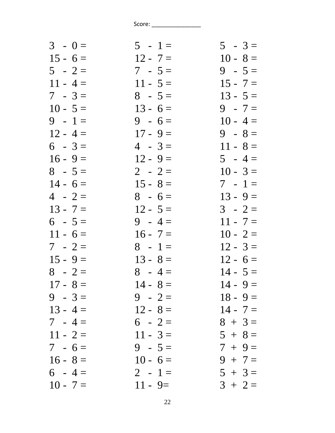| $3 - 0 =$  | $5 - 1 =$  | $5 - 3 =$  |
|------------|------------|------------|
| $15 - 6 =$ | $12 - 7 =$ | $10 - 8 =$ |
| $5 - 2 =$  | $7 - 5 =$  | $9 - 5 =$  |
| $11 - 4 =$ | $11 - 5 =$ | $15 - 7 =$ |
| $7 - 3 =$  | $8 - 5 =$  | $13 - 5 =$ |
| $10 - 5 =$ | $13 - 6 =$ | $9 - 7 =$  |
| $9 - 1 =$  | $9 - 6 =$  | $10 - 4 =$ |
| $12 - 4 =$ | $17 - 9 =$ | $9 - 8 =$  |
| $6 - 3 =$  | $4 - 3 =$  | $11 - 8 =$ |
| $16 - 9 =$ | $12 - 9 =$ | $5 - 4 =$  |
| $8 - 5 =$  | $2 - 2 =$  | $10 - 3 =$ |
| $14 - 6 =$ | $15 - 8 =$ | $7 - 1 =$  |
| $4 - 2 =$  | $8 - 6 =$  | $13 - 9 =$ |
| $13 - 7 =$ | $12 - 5 =$ | $3 - 2 =$  |
| $6 - 5 =$  | $9 - 4 =$  | $11 - 7 =$ |
| $11 - 6 =$ | $16 - 7 =$ | $10 - 2 =$ |
| $7 - 2 =$  | $8 - 1 =$  | $12 - 3 =$ |
| $15 - 9 =$ | $13 - 8 =$ | $12 - 6 =$ |
| $8 - 2 =$  | $8 - 4 =$  | $14 - 5 =$ |
| $17 - 8 =$ | $14 - 8 =$ | $14 - 9 =$ |
| $9 - 3 =$  | $9 - 2 =$  | $18 - 9 =$ |
| $13 - 4 =$ | $12 - 8 =$ | $14 - 7 =$ |
| $7 - 4 =$  | $6 - 2 =$  | $8 + 3 =$  |
| $11 - 2 =$ | $11 - 3 =$ | $5 + 8 =$  |
| $7 - 6 =$  | $9 - 5 =$  | $7 + 9 =$  |
| $16 - 8 =$ | $10 - 6 =$ | $9 + 7 =$  |
| $6 - 4 =$  | $2 - 1 =$  | $5 + 3 =$  |
| $10 - 7 =$ | $11 - 9 =$ | $3 + 2 =$  |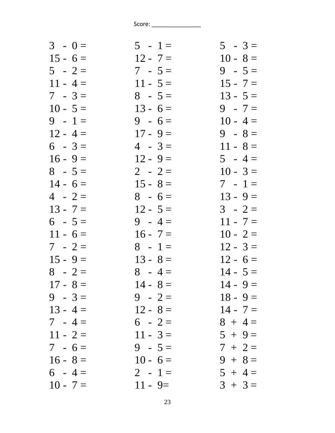| $3 - 0 =$  | $5 - 1 =$  | $5 - 3 =$  |
|------------|------------|------------|
| $15 - 6 =$ | $12 - 7 =$ | $10 - 8 =$ |
| $5 - 2 =$  | $7 - 5 =$  | $9 - 5 =$  |
| $11 - 4 =$ | $11 - 5 =$ | $15 - 7 =$ |
| $7 - 3 =$  | $8 - 5 =$  | $13 - 5 =$ |
| $10 - 5 =$ | $13 - 6 =$ | $9 - 7 =$  |
| $9 - 1 =$  | $9 - 6 =$  | $10 - 4 =$ |
| $12 - 4 =$ | $17 - 9 =$ | $9 - 8 =$  |
| $6 - 3 =$  | $4 - 3 =$  | $11 - 8 =$ |
| $16 - 9 =$ | $12 - 9 =$ | $5 - 4 =$  |
| $8 - 5 =$  | $2 - 2 =$  | $10 - 3 =$ |
| $14 - 6 =$ | $15 - 8 =$ | $7 - 1 =$  |
| $4 - 2 =$  | $8 - 6 =$  | $13 - 9 =$ |
| $13 - 7 =$ | $12 - 5 =$ | $3 - 2 =$  |
| $6 - 5 =$  | $9 - 4 =$  | $11 - 7 =$ |
| $11 - 6 =$ | $16 - 7 =$ | $10 - 2 =$ |
| $7 - 2 =$  | $8 - 1 =$  | $12 - 3 =$ |
| $15 - 9 =$ | $13 - 8 =$ | $12 - 6 =$ |
| $8 - 2 =$  | $8 - 4 =$  | $14 - 5 =$ |
| $17 - 8 =$ | $14 - 8 =$ | $14 - 9 =$ |
| $9 - 3 =$  | $9 - 2 =$  | $18 - 9 =$ |
| $13 - 4 =$ | $12 - 8 =$ | $14 - 7 =$ |
| $7 - 4 =$  | $6 - 2 =$  | $8 + 4 =$  |
| $11 - 2 =$ | $11 - 3 =$ | $5 + 9 =$  |
| $7 - 6 =$  | $9 - 5 =$  | $7 + 2 =$  |
| $16 - 8 =$ | $10 - 6 =$ | $9 + 8 =$  |
| $6 - 4 =$  | $2 - 1 =$  | $5 + 4 =$  |
| $10 - 7 =$ | $11 - 9 =$ | $3 + 3 =$  |
|            |            |            |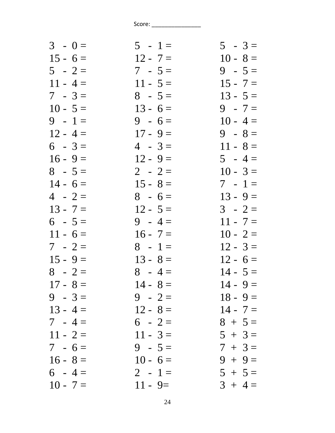| $3 - 0 =$  | $5 - 1 =$  | $5 - 3 =$  |
|------------|------------|------------|
| $15 - 6 =$ | $12 - 7 =$ | $10 - 8 =$ |
| $5 - 2 =$  | $7 - 5 =$  | $9 - 5 =$  |
| $11 - 4 =$ | $11 - 5 =$ | $15 - 7 =$ |
| $7 - 3 =$  | $8 - 5 =$  | $13 - 5 =$ |
| $10 - 5 =$ | $13 - 6 =$ | $9 - 7 =$  |
| $9 - 1 =$  | $9 - 6 =$  | $10 - 4 =$ |
| $12 - 4 =$ | $17 - 9 =$ | $9 - 8 =$  |
| $6 - 3 =$  | $4 - 3 =$  | $11 - 8 =$ |
| $16 - 9 =$ | $12 - 9 =$ | $5 - 4 =$  |
| $8 - 5 =$  | $2 - 2 =$  | $10 - 3 =$ |
| $14 - 6 =$ | $15 - 8 =$ | $7 - 1 =$  |
| $4 - 2 =$  | $8 - 6 =$  | $13 - 9 =$ |
| $13 - 7 =$ | $12 - 5 =$ | $3 - 2 =$  |
| $6 - 5 =$  | $9 - 4 =$  | $11 - 7 =$ |
| $11 - 6 =$ | $16 - 7 =$ | $10 - 2 =$ |
| $7 - 2 =$  | $8 - 1 =$  | $12 - 3 =$ |
| $15 - 9 =$ | $13 - 8 =$ | $12 - 6 =$ |
| $8 - 2 =$  | $8 - 4 =$  | $14 - 5 =$ |
| $17 - 8 =$ | $14 - 8 =$ | $14 - 9 =$ |
| $9 - 3 =$  | $9 - 2 =$  | $18 - 9 =$ |
| $13 - 4 =$ | $12 - 8 =$ | $14 - 7 =$ |
| $7 - 4 =$  | $6 - 2 =$  | $8 + 5 =$  |
| $11 - 2 =$ | $11 - 3 =$ | $5 + 3 =$  |
| $7 - 6 =$  | $9 - 5 =$  | $7 + 3 =$  |
| $16 - 8 =$ | $10 - 6 =$ | $9 + 9 =$  |
| $6 - 4 =$  | $2 - 1 =$  | $5 + 5 =$  |
| $10 - 7 =$ | $11 - 9 =$ | $3 + 4 =$  |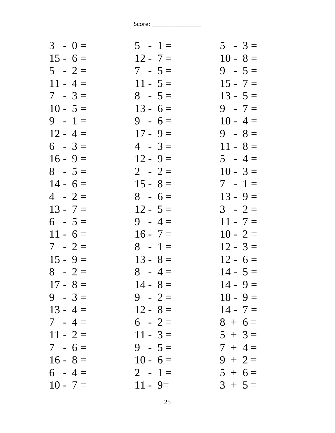| $5 - 1 =$  | $5 - 3 =$  |
|------------|------------|
| $12 - 7 =$ | $10 - 8 =$ |
| $7 - 5 =$  | $9 - 5 =$  |
| $11 - 5 =$ | $15 - 7 =$ |
| $8 - 5 =$  | $13 - 5 =$ |
| $13 - 6 =$ | $9 - 7 =$  |
| $9 - 6 =$  | $10 - 4 =$ |
| $17 - 9 =$ | $9 - 8 =$  |
| $4 - 3 =$  | $11 - 8 =$ |
| $12 - 9 =$ | $5 - 4 =$  |
| $2 - 2 =$  | $10 - 3 =$ |
| $15 - 8 =$ | $7 - 1 =$  |
| $8 - 6 =$  | $13 - 9 =$ |
| $12 - 5 =$ | $3 - 2 =$  |
| $9 - 4 =$  | $11 - 7 =$ |
| $16 - 7 =$ | $10 - 2 =$ |
| $8 - 1 =$  | $12 - 3 =$ |
| $13 - 8 =$ | $12 - 6 =$ |
| $8 - 4 =$  | $14 - 5 =$ |
| $14 - 8 =$ | $14 - 9 =$ |
| $9 - 2 =$  | $18 - 9 =$ |
| $12 - 8 =$ | $14 - 7 =$ |
| $6 - 2 =$  | $8 + 6 =$  |
| $11 - 3 =$ | $5 + 3 =$  |
| $9 - 5 =$  | $7 + 4 =$  |
| $10 - 6 =$ | $9 + 2 =$  |
| $2 - 1 =$  | $5 + 6 =$  |
| $11 - 9 =$ | $3 + 5 =$  |
|            |            |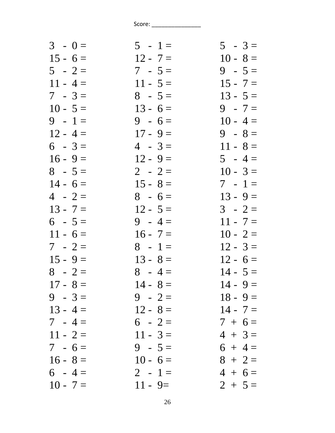| $3 - 0 =$  | $5 - 1 =$  | $5 - 3 =$  |
|------------|------------|------------|
| $15 - 6 =$ | $12 - 7 =$ | $10 - 8 =$ |
| $5 - 2 =$  | $7 - 5 =$  | $9 - 5 =$  |
| $11 - 4 =$ | $11 - 5 =$ | $15 - 7 =$ |
| $7 - 3 =$  | $8 - 5 =$  | $13 - 5 =$ |
| $10 - 5 =$ | $13 - 6 =$ | $9 - 7 =$  |
| $9 - 1 =$  | $9 - 6 =$  | $10 - 4 =$ |
| $12 - 4 =$ | $17 - 9 =$ | $9 - 8 =$  |
| $6 - 3 =$  | $4 - 3 =$  | $11 - 8 =$ |
| $16 - 9 =$ | $12 - 9 =$ | $5 - 4 =$  |
| $8 - 5 =$  | $2 - 2 =$  | $10 - 3 =$ |
| $14 - 6 =$ | $15 - 8 =$ | $7 - 1 =$  |
| $4 - 2 =$  | $8 - 6 =$  | $13 - 9 =$ |
| $13 - 7 =$ | $12 - 5 =$ | $3 - 2 =$  |
| $6 - 5 =$  | $9 - 4 =$  | $11 - 7 =$ |
| $11 - 6 =$ | $16 - 7 =$ | $10 - 2 =$ |
| $7 - 2 =$  | $8 - 1 =$  | $12 - 3 =$ |
| $15 - 9 =$ | $13 - 8 =$ | $12 - 6 =$ |
| $8 - 2 =$  | $8 - 4 =$  | $14 - 5 =$ |
| $17 - 8 =$ | $14 - 8 =$ | $14 - 9 =$ |
| $9 - 3 =$  | $9 - 2 =$  | $18 - 9 =$ |
| $13 - 4 =$ | $12 - 8 =$ | $14 - 7 =$ |
| $7 - 4 =$  | $6 - 2 =$  | $7 + 6 =$  |
| $11 - 2 =$ | $11 - 3 =$ | $4 + 3 =$  |
| $7 - 6 =$  | $9 - 5 =$  | $6 + 4 =$  |
| $16 - 8 =$ | $10 - 6 =$ | $8 + 2 =$  |
| $6 - 4 =$  | $2 - 1 =$  | $4 + 6 =$  |
| $10 - 7 =$ | $11 - 9 =$ | $2 + 5 =$  |
|            |            |            |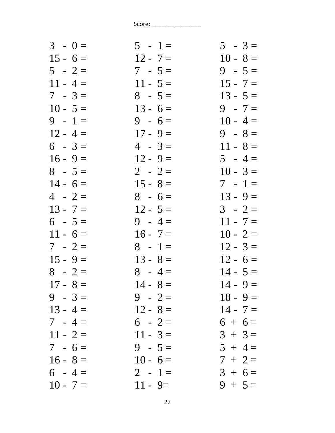| $3 - 0 =$  | $5 - 1 =$  | $5 - 3 =$  |
|------------|------------|------------|
| $15 - 6 =$ | $12 - 7 =$ | $10 - 8 =$ |
| $5 - 2 =$  | $7 - 5 =$  | $9 - 5 =$  |
| $11 - 4 =$ | $11 - 5 =$ | $15 - 7 =$ |
| $7 - 3 =$  | $8 - 5 =$  | $13 - 5 =$ |
| $10 - 5 =$ | $13 - 6 =$ | $9 - 7 =$  |
| $9 - 1 =$  | $9 - 6 =$  | $10 - 4 =$ |
| $12 - 4 =$ | $17 - 9 =$ | $9 - 8 =$  |
| $6 - 3 =$  | $4 - 3 =$  | $11 - 8 =$ |
| $16 - 9 =$ | $12 - 9 =$ | $5 - 4 =$  |
| $8 - 5 =$  | $2 - 2 =$  | $10 - 3 =$ |
| $14 - 6 =$ | $15 - 8 =$ | $7 - 1 =$  |
| $4 - 2 =$  | $8 - 6 =$  | $13 - 9 =$ |
| $13 - 7 =$ | $12 - 5 =$ | $3 - 2 =$  |
| $6 - 5 =$  | $9 - 4 =$  | $11 - 7 =$ |
| $11 - 6 =$ | $16 - 7 =$ | $10 - 2 =$ |
| $7 - 2 =$  | $8 - 1 =$  | $12 - 3 =$ |
| $15 - 9 =$ | $13 - 8 =$ | $12 - 6 =$ |
| $8 - 2 =$  | $8 - 4 =$  | $14 - 5 =$ |
| $17 - 8 =$ | $14 - 8 =$ | $14 - 9 =$ |
| $9 - 3 =$  | $9 - 2 =$  | $18 - 9 =$ |
| $13 - 4 =$ | $12 - 8 =$ | $14 - 7 =$ |
| $7 - 4 =$  | $6 - 2 =$  | $6 + 6 =$  |
| $11 - 2 =$ | $11 - 3 =$ | $3 + 3 =$  |
| $7 - 6 =$  | $9 - 5 =$  | $5 + 4 =$  |
| $16 - 8 =$ | $10 - 6 =$ | $7 + 2 =$  |
| $6 - 4 =$  | $2 - 1 =$  | $3 + 6 =$  |
| $10 - 7 =$ | $11 - 9 =$ | $9 + 5 =$  |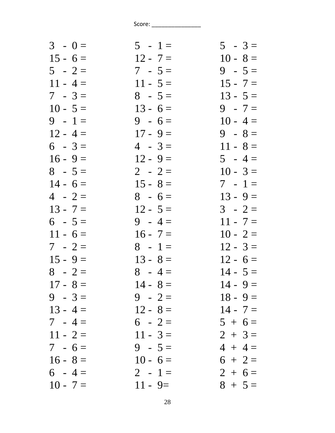| $3 - 0 =$  | $5 - 1 =$  | $5 - 3 =$  |
|------------|------------|------------|
| $15 - 6 =$ | $12 - 7 =$ | $10 - 8 =$ |
| $5 - 2 =$  | $7 - 5 =$  | $9 - 5 =$  |
| $11 - 4 =$ | $11 - 5 =$ | $15 - 7 =$ |
| $7 - 3 =$  | $8 - 5 =$  | $13 - 5 =$ |
| $10 - 5 =$ | $13 - 6 =$ | $9 - 7 =$  |
| $9 - 1 =$  | $9 - 6 =$  | $10 - 4 =$ |
| $12 - 4 =$ | $17 - 9 =$ | $9 - 8 =$  |
| $6 - 3 =$  | $4 - 3 =$  | $11 - 8 =$ |
| $16 - 9 =$ | $12 - 9 =$ | $5 - 4 =$  |
| $8 - 5 =$  | $2 - 2 =$  | $10 - 3 =$ |
| $14 - 6 =$ | $15 - 8 =$ | $7 - 1 =$  |
| $4 - 2 =$  | $8 - 6 =$  | $13 - 9 =$ |
| $13 - 7 =$ | $12 - 5 =$ | $3 - 2 =$  |
| $6 - 5 =$  | $9 - 4 =$  | $11 - 7 =$ |
| $11 - 6 =$ | $16 - 7 =$ | $10 - 2 =$ |
| $7 - 2 =$  | $8 - 1 =$  | $12 - 3 =$ |
| $15 - 9 =$ | $13 - 8 =$ | $12 - 6 =$ |
| $8 - 2 =$  | $8 - 4 =$  | $14 - 5 =$ |
| $17 - 8 =$ | $14 - 8 =$ | $14 - 9 =$ |
| $9 - 3 =$  | $9 - 2 =$  | $18 - 9 =$ |
| $13 - 4 =$ | $12 - 8 =$ | $14 - 7 =$ |
| $7 - 4 =$  | $6 - 2 =$  | $5 + 6 =$  |
| $11 - 2 =$ | $11 - 3 =$ | $2 + 3 =$  |
| $7 - 6 =$  | $9 - 5 =$  | $4 + 4 =$  |
| $16 - 8 =$ | $10 - 6 =$ | $6 + 2 =$  |
| $6 - 4 =$  | $2 - 1 =$  | $2 + 6 =$  |
| $10 - 7 =$ | $11 - 9 =$ | $8 + 5 =$  |
|            |            |            |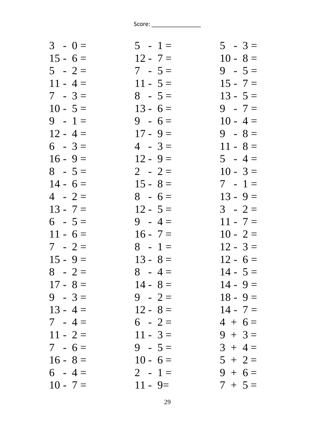| $3 - 0 =$  | $5 - 1 =$  | $5 - 3 =$  |
|------------|------------|------------|
| $15 - 6 =$ | $12 - 7 =$ | $10 - 8 =$ |
| $5 - 2 =$  | $7 - 5 =$  | $9 - 5 =$  |
| $11 - 4 =$ | $11 - 5 =$ | $15 - 7 =$ |
| $7 - 3 =$  | $8 - 5 =$  | $13 - 5 =$ |
| $10 - 5 =$ | $13 - 6 =$ | $9 - 7 =$  |
| $9 - 1 =$  | $9 - 6 =$  | $10 - 4 =$ |
| $12 - 4 =$ | $17 - 9 =$ | $9 - 8 =$  |
| $6 - 3 =$  | $4 - 3 =$  | $11 - 8 =$ |
| $16 - 9 =$ | $12 - 9 =$ | $5 - 4 =$  |
| $8 - 5 =$  | $2 - 2 =$  | $10 - 3 =$ |
| $14 - 6 =$ | $15 - 8 =$ | $7 - 1 =$  |
| $4 - 2 =$  | $8 - 6 =$  | $13 - 9 =$ |
| $13 - 7 =$ | $12 - 5 =$ | $3 - 2 =$  |
| $6 - 5 =$  | $9 - 4 =$  | $11 - 7 =$ |
| $11 - 6 =$ | $16 - 7 =$ | $10 - 2 =$ |
| $7 - 2 =$  | $8 - 1 =$  | $12 - 3 =$ |
| $15 - 9 =$ | $13 - 8 =$ | $12 - 6 =$ |
| $8 - 2 =$  | $8 - 4 =$  | $14 - 5 =$ |
| $17 - 8 =$ | $14 - 8 =$ | $14 - 9 =$ |
| $9 - 3 =$  | $9 - 2 =$  | $18 - 9 =$ |
| $13 - 4 =$ | $12 - 8 =$ | $14 - 7 =$ |
| $7 - 4 =$  | $6 - 2 =$  | $4 + 6 =$  |
| $11 - 2 =$ | $11 - 3 =$ | $9 + 3 =$  |
| $7 - 6 =$  | $9 - 5 =$  | $3 + 4 =$  |
| $16 - 8 =$ | $10 - 6 =$ | $5 + 2 =$  |
| $6 - 4 =$  | $2 - 1 =$  | $9 + 6 =$  |
| $10 - 7 =$ | $11 - 9 =$ | $7 + 5 =$  |
|            |            |            |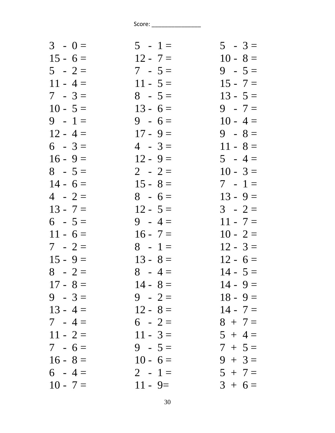| $5 - 1 =$  | $5 - 3 =$  |
|------------|------------|
| $12 - 7 =$ | $10 - 8 =$ |
| $7 - 5 =$  | $9 - 5 =$  |
| $11 - 5 =$ | $15 - 7 =$ |
| $8 - 5 =$  | $13 - 5 =$ |
| $13 - 6 =$ | $9 - 7 =$  |
| $9 - 6 =$  | $10 - 4 =$ |
| $17 - 9 =$ | $9 - 8 =$  |
| $4 - 3 =$  | $11 - 8 =$ |
| $12 - 9 =$ | $5 - 4 =$  |
| $2 - 2 =$  | $10 - 3 =$ |
| $15 - 8 =$ | $7 - 1 =$  |
| $8 - 6 =$  | $13 - 9 =$ |
| $12 - 5 =$ | $3 - 2 =$  |
| $9 - 4 =$  | $11 - 7 =$ |
| $16 - 7 =$ | $10 - 2 =$ |
| $8 - 1 =$  | $12 - 3 =$ |
| $13 - 8 =$ | $12 - 6 =$ |
| $8 - 4 =$  | $14 - 5 =$ |
| $14 - 8 =$ | $14 - 9 =$ |
| $9 - 2 =$  | $18 - 9 =$ |
| $12 - 8 =$ | $14 - 7 =$ |
| $6 - 2 =$  | $8 + 7 =$  |
| $11 - 3 =$ | $5 + 4 =$  |
| $9 - 5 =$  | $7 + 5 =$  |
| $10 - 6 =$ | $9 + 3 =$  |
| $2 - 1 =$  | $5 + 7 =$  |
| $11 - 9 =$ | $3 + 6 =$  |
|            |            |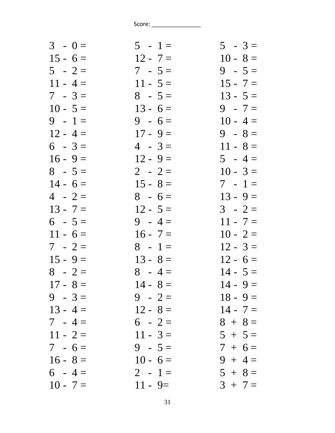| $3 - 0 =$  | $5 - 1 =$  | $5 - 3 =$  |
|------------|------------|------------|
| $15 - 6 =$ | $12 - 7 =$ | $10 - 8 =$ |
| $5 - 2 =$  | $7 - 5 =$  | $9 - 5 =$  |
| $11 - 4 =$ | $11 - 5 =$ | $15 - 7 =$ |
| $7 - 3 =$  | $8 - 5 =$  | $13 - 5 =$ |
| $10 - 5 =$ | $13 - 6 =$ | $9 - 7 =$  |
| $9 - 1 =$  | $9 - 6 =$  | $10 - 4 =$ |
| $12 - 4 =$ | $17 - 9 =$ | $9 - 8 =$  |
| $6 - 3 =$  | $4 - 3 =$  | $11 - 8 =$ |
| $16 - 9 =$ | $12 - 9 =$ | $5 - 4 =$  |
| $8 - 5 =$  | $2 - 2 =$  | $10 - 3 =$ |
| $14 - 6 =$ | $15 - 8 =$ | $7 - 1 =$  |
| $4 - 2 =$  | $8 - 6 =$  | $13 - 9 =$ |
| $13 - 7 =$ | $12 - 5 =$ | $3 - 2 =$  |
| $6 - 5 =$  | $9 - 4 =$  | $11 - 7 =$ |
| $11 - 6 =$ | $16 - 7 =$ | $10 - 2 =$ |
| $7 - 2 =$  | $8 - 1 =$  | $12 - 3 =$ |
| $15 - 9 =$ | $13 - 8 =$ | $12 - 6 =$ |
| $8 - 2 =$  | $8 - 4 =$  | $14 - 5 =$ |
| $17 - 8 =$ | $14 - 8 =$ | $14 - 9 =$ |
| $9 - 3 =$  | $9 - 2 =$  | $18 - 9 =$ |
| $13 - 4 =$ | $12 - 8 =$ | $14 - 7 =$ |
| $7 - 4 =$  | $6 - 2 =$  | $8 + 8 =$  |
| $11 - 2 =$ | $11 - 3 =$ | $5 + 5 =$  |
| $7 - 6 =$  | $9 - 5 =$  | $7 + 6 =$  |
| $16 - 8 =$ | $10 - 6 =$ | $9 + 4 =$  |
| $6 - 4 =$  | $2 - 1 =$  | $5 + 8 =$  |
| $10 - 7 =$ | $11 - 9 =$ | $3 + 7 =$  |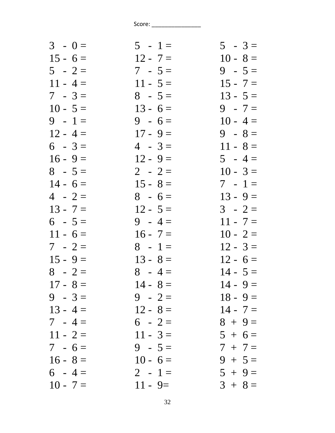| $5 - 1 =$  | $5 - 3 =$  |
|------------|------------|
| $12 - 7 =$ | $10 - 8 =$ |
| $7 - 5 =$  | $9 - 5 =$  |
| $11 - 5 =$ | $15 - 7 =$ |
| $8 - 5 =$  | $13 - 5 =$ |
| $13 - 6 =$ | $9 - 7 =$  |
| $9 - 6 =$  | $10 - 4 =$ |
| $17 - 9 =$ | $9 - 8 =$  |
| $4 - 3 =$  | $11 - 8 =$ |
| $12 - 9 =$ | $5 - 4 =$  |
| $2 - 2 =$  | $10 - 3 =$ |
| $15 - 8 =$ | $7 - 1 =$  |
| $8 - 6 =$  | $13 - 9 =$ |
| $12 - 5 =$ | $3 - 2 =$  |
| $9 - 4 =$  | $11 - 7 =$ |
| $16 - 7 =$ | $10 - 2 =$ |
| $8 - 1 =$  | $12 - 3 =$ |
| $13 - 8 =$ | $12 - 6 =$ |
| $8 - 4 =$  | $14 - 5 =$ |
| $14 - 8 =$ | $14 - 9 =$ |
| $9 - 2 =$  | $18 - 9 =$ |
| $12 - 8 =$ | $14 - 7 =$ |
| $6 - 2 =$  | $8 + 9 =$  |
| $11 - 3 =$ | $5 + 6 =$  |
| $9 - 5 =$  | $7 + 7 =$  |
| $10 - 6 =$ | $9 + 5 =$  |
| $2 - 1 =$  | $5 + 9 =$  |
| $11 - 9 =$ | $3 + 8 =$  |
|            |            |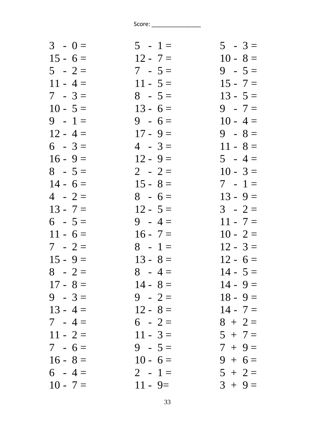| $3 - 0 =$  | $5 - 1 =$  | $5 - 3 =$  |
|------------|------------|------------|
| $15 - 6 =$ | $12 - 7 =$ | $10 - 8 =$ |
| $5 - 2 =$  | $7 - 5 =$  | $9 - 5 =$  |
| $11 - 4 =$ | $11 - 5 =$ | $15 - 7 =$ |
| $7 - 3 =$  | $8 - 5 =$  | $13 - 5 =$ |
| $10 - 5 =$ | $13 - 6 =$ | $9 - 7 =$  |
| $9 - 1 =$  | $9 - 6 =$  | $10 - 4 =$ |
| $12 - 4 =$ | $17 - 9 =$ | $9 - 8 =$  |
| $6 - 3 =$  | $4 - 3 =$  | $11 - 8 =$ |
| $16 - 9 =$ | $12 - 9 =$ | $5 - 4 =$  |
| $8 - 5 =$  | $2 - 2 =$  | $10 - 3 =$ |
| $14 - 6 =$ | $15 - 8 =$ | $7 - 1 =$  |
| $4 - 2 =$  | $8 - 6 =$  | $13 - 9 =$ |
| $13 - 7 =$ | $12 - 5 =$ | $3 - 2 =$  |
| $6 - 5 =$  | $9 - 4 =$  | $11 - 7 =$ |
| $11 - 6 =$ | $16 - 7 =$ | $10 - 2 =$ |
| $7 - 2 =$  | $8 - 1 =$  | $12 - 3 =$ |
| $15 - 9 =$ | $13 - 8 =$ | $12 - 6 =$ |
| $8 - 2 =$  | $8 - 4 =$  | $14 - 5 =$ |
| $17 - 8 =$ | $14 - 8 =$ | $14 - 9 =$ |
| $9 - 3 =$  | $9 - 2 =$  | $18 - 9 =$ |
| $13 - 4 =$ | $12 - 8 =$ | $14 - 7 =$ |
| $7 - 4 =$  | $6 - 2 =$  | $8 + 2 =$  |
| $11 - 2 =$ | $11 - 3 =$ | $5 + 7 =$  |
| $7 - 6 =$  | $9 - 5 =$  | $7 + 9 =$  |
| $16 - 8 =$ | $10 - 6 =$ | $9 + 6 =$  |
| $6 - 4 =$  | $2 - 1 =$  | $5 + 2 =$  |
| $10 - 7 =$ | $11 - 9 =$ | $3 + 9 =$  |
|            |            |            |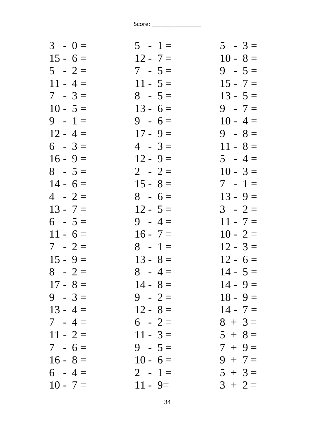| $3 - 0 =$  | $5 - 1 =$  | $5 - 3 =$  |
|------------|------------|------------|
| $15 - 6 =$ | $12 - 7 =$ | $10 - 8 =$ |
| $5 - 2 =$  | $7 - 5 =$  | $9 - 5 =$  |
| $11 - 4 =$ | $11 - 5 =$ | $15 - 7 =$ |
| $7 - 3 =$  | $8 - 5 =$  | $13 - 5 =$ |
| $10 - 5 =$ | $13 - 6 =$ | $9 - 7 =$  |
| $9 - 1 =$  | $9 - 6 =$  | $10 - 4 =$ |
| $12 - 4 =$ | $17 - 9 =$ | $9 - 8 =$  |
| $6 - 3 =$  | $4 - 3 =$  | $11 - 8 =$ |
| $16 - 9 =$ | $12 - 9 =$ | $5 - 4 =$  |
| $8 - 5 =$  | $2 - 2 =$  | $10 - 3 =$ |
| $14 - 6 =$ | $15 - 8 =$ | $7 - 1 =$  |
| $4 - 2 =$  | $8 - 6 =$  | $13 - 9 =$ |
| $13 - 7 =$ | $12 - 5 =$ | $3 - 2 =$  |
| $6 - 5 =$  | $9 - 4 =$  | $11 - 7 =$ |
| $11 - 6 =$ | $16 - 7 =$ | $10 - 2 =$ |
| $7 - 2 =$  | $8 - 1 =$  | $12 - 3 =$ |
| $15 - 9 =$ | $13 - 8 =$ | $12 - 6 =$ |
| $8 - 2 =$  | $8 - 4 =$  | $14 - 5 =$ |
| $17 - 8 =$ | $14 - 8 =$ | $14 - 9 =$ |
| $9 - 3 =$  | $9 - 2 =$  | $18 - 9 =$ |
| $13 - 4 =$ | $12 - 8 =$ | $14 - 7 =$ |
| $7 - 4 =$  | $6 - 2 =$  | $8 + 3 =$  |
| $11 - 2 =$ | $11 - 3 =$ | $5 + 8 =$  |
| $7 - 6 =$  | $9 - 5 =$  | $7 + 9 =$  |
| $16 - 8 =$ | $10 - 6 =$ | $9 + 7 =$  |
| $6 - 4 =$  | $2 - 1 =$  | $5 + 3 =$  |
| $10 - 7 =$ | $11 - 9 =$ | $3 + 2 =$  |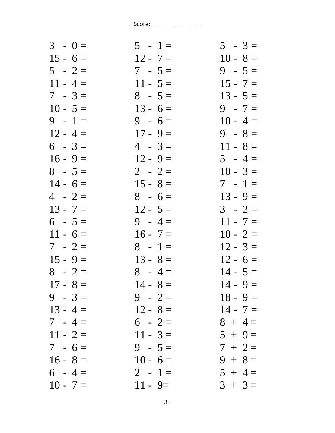| $3 - 0 =$  | $5 - 1 =$  | $5 - 3 =$  |
|------------|------------|------------|
| $15 - 6 =$ | $12 - 7 =$ | $10 - 8 =$ |
| $5 - 2 =$  | $7 - 5 =$  | $9 - 5 =$  |
| $11 - 4 =$ | $11 - 5 =$ | $15 - 7 =$ |
| $7 - 3 =$  | $8 - 5 =$  | $13 - 5 =$ |
| $10 - 5 =$ | $13 - 6 =$ | $9 - 7 =$  |
| $9 - 1 =$  | $9 - 6 =$  | $10 - 4 =$ |
| $12 - 4 =$ | $17 - 9 =$ | $9 - 8 =$  |
| $6 - 3 =$  | $4 - 3 =$  | $11 - 8 =$ |
| $16 - 9 =$ | $12 - 9 =$ | $5 - 4 =$  |
| $8 - 5 =$  | $2 - 2 =$  | $10 - 3 =$ |
| $14 - 6 =$ | $15 - 8 =$ | $7 - 1 =$  |
| $4 - 2 =$  | $8 - 6 =$  | $13 - 9 =$ |
| $13 - 7 =$ | $12 - 5 =$ | $3 - 2 =$  |
| $6 - 5 =$  | $9 - 4 =$  | $11 - 7 =$ |
| $11 - 6 =$ | $16 - 7 =$ | $10 - 2 =$ |
| $7 - 2 =$  | $8 - 1 =$  | $12 - 3 =$ |
| $15 - 9 =$ | $13 - 8 =$ | $12 - 6 =$ |
| $8 - 2 =$  | $8 - 4 =$  | $14 - 5 =$ |
| $17 - 8 =$ | $14 - 8 =$ | $14 - 9 =$ |
| $9 - 3 =$  | $9 - 2 =$  | $18 - 9 =$ |
| $13 - 4 =$ | $12 - 8 =$ | $14 - 7 =$ |
| $7 - 4 =$  | $6 - 2 =$  | $8 + 4 =$  |
| $11 - 2 =$ | $11 - 3 =$ | $5 + 9 =$  |
| $7 - 6 =$  | $9 - 5 =$  | $7 + 2 =$  |
| $16 - 8 =$ | $10 - 6 =$ | $9 + 8 =$  |
| $6 - 4 =$  | $2 - 1 =$  | $5 + 4 =$  |
| $10 - 7 =$ | $11 - 9 =$ | $3 + 3 =$  |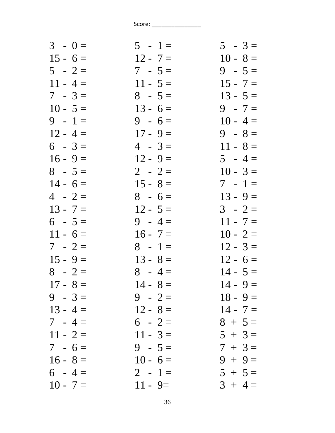| $3 - 0 =$  | $5 - 1 =$  | $5 - 3 =$  |
|------------|------------|------------|
| $15 - 6 =$ | $12 - 7 =$ | $10 - 8 =$ |
| $5 - 2 =$  | $7 - 5 =$  | $9 - 5 =$  |
| $11 - 4 =$ | $11 - 5 =$ | $15 - 7 =$ |
| $7 - 3 =$  | $8 - 5 =$  | $13 - 5 =$ |
| $10 - 5 =$ | $13 - 6 =$ | $9 - 7 =$  |
| $9 - 1 =$  | $9 - 6 =$  | $10 - 4 =$ |
| $12 - 4 =$ | $17 - 9 =$ | $9 - 8 =$  |
| $6 - 3 =$  | $4 - 3 =$  | $11 - 8 =$ |
| $16 - 9 =$ | $12 - 9 =$ | $5 - 4 =$  |
| $8 - 5 =$  | $2 - 2 =$  | $10 - 3 =$ |
| $14 - 6 =$ | $15 - 8 =$ | $7 - 1 =$  |
| $4 - 2 =$  | $8 - 6 =$  | $13 - 9 =$ |
| $13 - 7 =$ | $12 - 5 =$ | $3 - 2 =$  |
| $6 - 5 =$  | $9 - 4 =$  | $11 - 7 =$ |
| $11 - 6 =$ | $16 - 7 =$ | $10 - 2 =$ |
| $7 - 2 =$  | $8 - 1 =$  | $12 - 3 =$ |
| $15 - 9 =$ | $13 - 8 =$ | $12 - 6 =$ |
| $8 - 2 =$  | $8 - 4 =$  | $14 - 5 =$ |
| $17 - 8 =$ | $14 - 8 =$ | $14 - 9 =$ |
| $9 - 3 =$  | $9 - 2 =$  | $18 - 9 =$ |
| $13 - 4 =$ | $12 - 8 =$ | $14 - 7 =$ |
| $7 - 4 =$  | $6 - 2 =$  | $8 + 5 =$  |
| $11 - 2 =$ | $11 - 3 =$ | $5 + 3 =$  |
| $7 - 6 =$  | $9 - 5 =$  | $7 + 3 =$  |
| $16 - 8 =$ | $10 - 6 =$ | $9 + 9 =$  |
| $6 - 4 =$  | $2 - 1 =$  | $5 + 5 =$  |
| $10 - 7 =$ | $11 - 9 =$ | $3 + 4 =$  |
|            |            |            |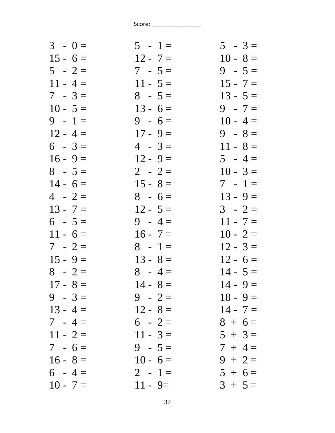| $3 - 0 =$  | $5 - 1 =$  | $5 - 3 =$  |
|------------|------------|------------|
| $15 - 6 =$ | $12 - 7 =$ | $10 - 8 =$ |
| $5 - 2 =$  | $7 - 5 =$  | $9 - 5 =$  |
| $11 - 4 =$ | $11 - 5 =$ | $15 - 7 =$ |
| $7 - 3 =$  | $8 - 5 =$  | $13 - 5 =$ |
| $10 - 5 =$ | $13 - 6 =$ | $9 - 7 =$  |
| $9 - 1 =$  | $9 - 6 =$  | $10 - 4 =$ |
| $12 - 4 =$ | $17 - 9 =$ | $9 - 8 =$  |
| $6 - 3 =$  | $4 - 3 =$  | $11 - 8 =$ |
| $16 - 9 =$ | $12 - 9 =$ | $5 - 4 =$  |
| $8 - 5 =$  | $2 - 2 =$  | $10 - 3 =$ |
| $14 - 6 =$ | $15 - 8 =$ | $7 - 1 =$  |
| $4 - 2 =$  | $8 - 6 =$  | $13 - 9 =$ |
| $13 - 7 =$ | $12 - 5 =$ | $3 - 2 =$  |
| $6 - 5 =$  | $9 - 4 =$  | $11 - 7 =$ |
| $11 - 6 =$ | $16 - 7 =$ | $10 - 2 =$ |
| $7 - 2 =$  | $8 - 1 =$  | $12 - 3 =$ |
| $15 - 9 =$ | $13 - 8 =$ | $12 - 6 =$ |
| $8 - 2 =$  | $8 - 4 =$  | $14 - 5 =$ |
| $17 - 8 =$ | $14 - 8 =$ | $14 - 9 =$ |
| $9 - 3 =$  | $9 - 2 =$  | $18 - 9 =$ |
| $13 - 4 =$ | $12 - 8 =$ | $14 - 7 =$ |
| $7 - 4 =$  | $6 - 2 =$  | $8 + 6 =$  |
| $11 - 2 =$ | $11 - 3 =$ | $5 + 3 =$  |
| $7 - 6 =$  | $9 - 5 =$  | $7 + 4 =$  |
| $16 - 8 =$ | $10 - 6 =$ | $9 + 2 =$  |
| $6 - 4 =$  | $2 - 1 =$  | $5 + 6 =$  |
| $10 - 7 =$ | $11 - 9 =$ | $3 + 5 =$  |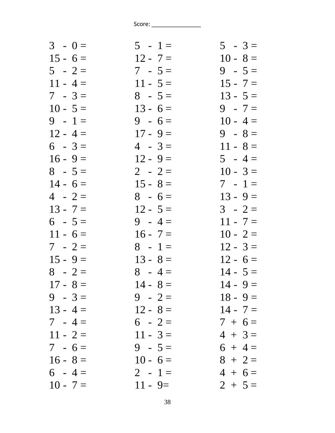| $3 - 0 =$  | $5 - 1 =$  | $5 - 3 =$  |
|------------|------------|------------|
| $15 - 6 =$ | $12 - 7 =$ | $10 - 8 =$ |
| $5 - 2 =$  | $7 - 5 =$  | $9 - 5 =$  |
| $11 - 4 =$ | $11 - 5 =$ | $15 - 7 =$ |
| $7 - 3 =$  | $8 - 5 =$  | $13 - 5 =$ |
| $10 - 5 =$ | $13 - 6 =$ | $9 - 7 =$  |
| $9 - 1 =$  | $9 - 6 =$  | $10 - 4 =$ |
| $12 - 4 =$ | $17 - 9 =$ | $9 - 8 =$  |
| $6 - 3 =$  | $4 - 3 =$  | $11 - 8 =$ |
| $16 - 9 =$ | $12 - 9 =$ | $5 - 4 =$  |
| $8 - 5 =$  | $2 - 2 =$  | $10 - 3 =$ |
| $14 - 6 =$ | $15 - 8 =$ | $7 - 1 =$  |
| $4 - 2 =$  | $8 - 6 =$  | $13 - 9 =$ |
| $13 - 7 =$ | $12 - 5 =$ | $3 - 2 =$  |
| $6 - 5 =$  | $9 - 4 =$  | $11 - 7 =$ |
| $11 - 6 =$ | $16 - 7 =$ | $10 - 2 =$ |
| $7 - 2 =$  | $8 - 1 =$  | $12 - 3 =$ |
| $15 - 9 =$ | $13 - 8 =$ | $12 - 6 =$ |
| $8 - 2 =$  | $8 - 4 =$  | $14 - 5 =$ |
| $17 - 8 =$ | $14 - 8 =$ | $14 - 9 =$ |
| $9 - 3 =$  | $9 - 2 =$  | $18 - 9 =$ |
| $13 - 4 =$ | $12 - 8 =$ | $14 - 7 =$ |
| $7 - 4 =$  | $6 - 2 =$  | $7 + 6 =$  |
| $11 - 2 =$ | $11 - 3 =$ | $4 + 3 =$  |
| $7 - 6 =$  | $9 - 5 =$  | $6 + 4 =$  |
| $16 - 8 =$ | $10 - 6 =$ | $8 + 2 =$  |
| $6 - 4 =$  | $2 - 1 =$  | $4 + 6 =$  |
| $10 - 7 =$ | $11 - 9 =$ | $2 + 5 =$  |
|            |            |            |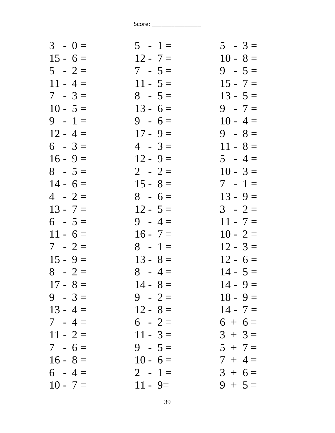| $3 - 0 =$  | $5 - 1 =$  | $5 - 3 =$  |
|------------|------------|------------|
| $15 - 6 =$ | $12 - 7 =$ | $10 - 8 =$ |
| $5 - 2 =$  | $7 - 5 =$  | $9 - 5 =$  |
| $11 - 4 =$ | $11 - 5 =$ | $15 - 7 =$ |
| $7 - 3 =$  | $8 - 5 =$  | $13 - 5 =$ |
| $10 - 5 =$ | $13 - 6 =$ | $9 - 7 =$  |
| $9 - 1 =$  | $9 - 6 =$  | $10 - 4 =$ |
| $12 - 4 =$ | $17 - 9 =$ | $9 - 8 =$  |
| $6 - 3 =$  | $4 - 3 =$  | $11 - 8 =$ |
| $16 - 9 =$ | $12 - 9 =$ | $5 - 4 =$  |
| $8 - 5 =$  | $2 - 2 =$  | $10 - 3 =$ |
| $14 - 6 =$ | $15 - 8 =$ | $7 - 1 =$  |
| $4 - 2 =$  | $8 - 6 =$  | $13 - 9 =$ |
| $13 - 7 =$ | $12 - 5 =$ | $3 - 2 =$  |
| $6 - 5 =$  | $9 - 4 =$  | $11 - 7 =$ |
| $11 - 6 =$ | $16 - 7 =$ | $10 - 2 =$ |
| $7 - 2 =$  | $8 - 1 =$  | $12 - 3 =$ |
| $15 - 9 =$ | $13 - 8 =$ | $12 - 6 =$ |
| $8 - 2 =$  | $8 - 4 =$  | $14 - 5 =$ |
| $17 - 8 =$ | $14 - 8 =$ | $14 - 9 =$ |
| $9 - 3 =$  | $9 - 2 =$  | $18 - 9 =$ |
| $13 - 4 =$ | $12 - 8 =$ | $14 - 7 =$ |
| $7 - 4 =$  | $6 - 2 =$  | $6 + 6 =$  |
| $11 - 2 =$ | $11 - 3 =$ | $3 + 3 =$  |
| $7 - 6 =$  | $9 - 5 =$  | $5 + 7 =$  |
| $16 - 8 =$ | $10 - 6 =$ | $7 + 4 =$  |
| $6 - 4 =$  | $2 - 1 =$  | $3 + 6 =$  |
| $10 - 7 =$ | $11 - 9 =$ | $9 + 5 =$  |
|            |            |            |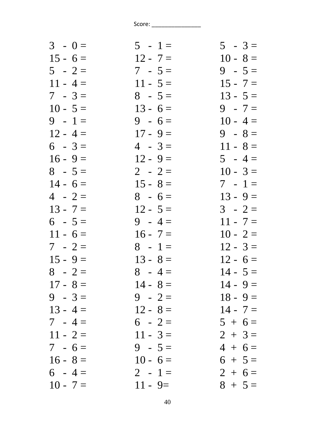| $3 - 0 =$  | $5 - 1 =$  | $5 - 3 =$  |
|------------|------------|------------|
| $15 - 6 =$ | $12 - 7 =$ | $10 - 8 =$ |
| $5 - 2 =$  | $7 - 5 =$  | $9 - 5 =$  |
| $11 - 4 =$ | $11 - 5 =$ | $15 - 7 =$ |
| $7 - 3 =$  | $8 - 5 =$  | $13 - 5 =$ |
| $10 - 5 =$ | $13 - 6 =$ | $9 - 7 =$  |
| $9 - 1 =$  | $9 - 6 =$  | $10 - 4 =$ |
| $12 - 4 =$ | $17 - 9 =$ | $9 - 8 =$  |
| $6 - 3 =$  | $4 - 3 =$  | $11 - 8 =$ |
| $16 - 9 =$ | $12 - 9 =$ | $5 - 4 =$  |
| $8 - 5 =$  | $2 - 2 =$  | $10 - 3 =$ |
| $14 - 6 =$ | $15 - 8 =$ | $7 - 1 =$  |
| $4 - 2 =$  | $8 - 6 =$  | $13 - 9 =$ |
| $13 - 7 =$ | $12 - 5 =$ | $3 - 2 =$  |
| $6 - 5 =$  | $9 - 4 =$  | $11 - 7 =$ |
| $11 - 6 =$ | $16 - 7 =$ | $10 - 2 =$ |
| $7 - 2 =$  | $8 - 1 =$  | $12 - 3 =$ |
| $15 - 9 =$ | $13 - 8 =$ | $12 - 6 =$ |
| $8 - 2 =$  | $8 - 4 =$  | $14 - 5 =$ |
| $17 - 8 =$ | $14 - 8 =$ | $14 - 9 =$ |
| $9 - 3 =$  | $9 - 2 =$  | $18 - 9 =$ |
| $13 - 4 =$ | $12 - 8 =$ | $14 - 7 =$ |
| $7 - 4 =$  | $6 - 2 =$  | $5 + 6 =$  |
| $11 - 2 =$ | $11 - 3 =$ | $2 + 3 =$  |
| $7 - 6 =$  | $9 - 5 =$  | $4 + 6 =$  |
| $16 - 8 =$ | $10 - 6 =$ | $6 + 5 =$  |
| $6 - 4 =$  | $2 - 1 =$  | $2 + 6 =$  |
| $10 - 7 =$ | $11 - 9 =$ | $8 + 5 =$  |
|            |            |            |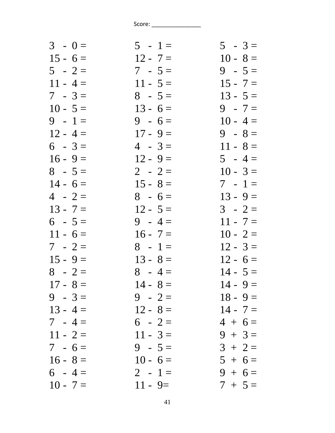| $3 - 0 =$  | $5 - 1 =$  | $5 - 3 =$  |
|------------|------------|------------|
| $15 - 6 =$ | $12 - 7 =$ | $10 - 8 =$ |
| $5 - 2 =$  | $7 - 5 =$  | $9 - 5 =$  |
| $11 - 4 =$ | $11 - 5 =$ | $15 - 7 =$ |
| $7 - 3 =$  | $8 - 5 =$  | $13 - 5 =$ |
| $10 - 5 =$ | $13 - 6 =$ | $9 - 7 =$  |
| $9 - 1 =$  | $9 - 6 =$  | $10 - 4 =$ |
| $12 - 4 =$ | $17 - 9 =$ | $9 - 8 =$  |
| $6 - 3 =$  | $4 - 3 =$  | $11 - 8 =$ |
| $16 - 9 =$ | $12 - 9 =$ | $5 - 4 =$  |
| $8 - 5 =$  | $2 - 2 =$  | $10 - 3 =$ |
| $14 - 6 =$ | $15 - 8 =$ | $7 - 1 =$  |
| $4 - 2 =$  | $8 - 6 =$  | $13 - 9 =$ |
| $13 - 7 =$ | $12 - 5 =$ | $3 - 2 =$  |
| $6 - 5 =$  | $9 - 4 =$  | $11 - 7 =$ |
| $11 - 6 =$ | $16 - 7 =$ | $10 - 2 =$ |
| $7 - 2 =$  | $8 - 1 =$  | $12 - 3 =$ |
| $15 - 9 =$ | $13 - 8 =$ | $12 - 6 =$ |
| $8 - 2 =$  | $8 - 4 =$  | $14 - 5 =$ |
| $17 - 8 =$ | $14 - 8 =$ | $14 - 9 =$ |
| $9 - 3 =$  | $9 - 2 =$  | $18 - 9 =$ |
| $13 - 4 =$ | $12 - 8 =$ | $14 - 7 =$ |
| $7 - 4 =$  | $6 - 2 =$  | $4 + 6 =$  |
| $11 - 2 =$ | $11 - 3 =$ | $9 + 3 =$  |
| $7 - 6 =$  | $9 - 5 =$  | $3 + 2 =$  |
| $16 - 8 =$ | $10 - 6 =$ | $5 + 6 =$  |
| $6 - 4 =$  | $2 - 1 =$  | $9 + 6 =$  |
| $10 - 7 =$ | $11 - 9 =$ | $7 + 5 =$  |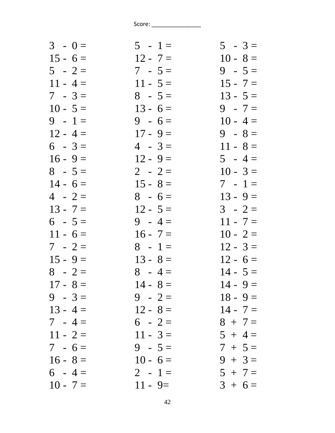| $5 - 1 =$  | $5 - 3 =$  |
|------------|------------|
| $12 - 7 =$ | $10 - 8 =$ |
| $7 - 5 =$  | $9 - 5 =$  |
| $11 - 5 =$ | $15 - 7 =$ |
| $8 - 5 =$  | $13 - 5 =$ |
| $13 - 6 =$ | $9 - 7 =$  |
| $9 - 6 =$  | $10 - 4 =$ |
| $17 - 9 =$ | $9 - 8 =$  |
| $4 - 3 =$  | $11 - 8 =$ |
| $12 - 9 =$ | $5 - 4 =$  |
| $2 - 2 =$  | $10 - 3 =$ |
| $15 - 8 =$ | $7 - 1 =$  |
| $8 - 6 =$  | $13 - 9 =$ |
| $12 - 5 =$ | $3 - 2 =$  |
| $9 - 4 =$  | $11 - 7 =$ |
| $16 - 7 =$ | $10 - 2 =$ |
| $8 - 1 =$  | $12 - 3 =$ |
| $13 - 8 =$ | $12 - 6 =$ |
| $8 - 4 =$  | $14 - 5 =$ |
| $14 - 8 =$ | $14 - 9 =$ |
| $9 - 2 =$  | $18 - 9 =$ |
| $12 - 8 =$ | $14 - 7 =$ |
| $6 - 2 =$  | $8 + 7 =$  |
| $11 - 3 =$ | $5 + 4 =$  |
| $9 - 5 =$  | $7 + 5 =$  |
| $10 - 6 =$ | $9 + 3 =$  |
| $2 - 1 =$  | $5 + 7 =$  |
| $11 - 9 =$ | $3 + 6 =$  |
|            |            |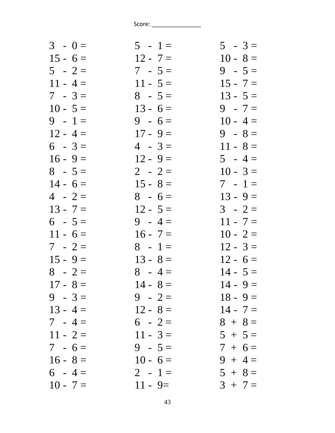| $3 - 0 =$  | $5 - 1 =$  | $5 - 3 =$  |
|------------|------------|------------|
| $15 - 6 =$ | $12 - 7 =$ | $10 - 8 =$ |
| $5 - 2 =$  | $7 - 5 =$  | $9 - 5 =$  |
| $11 - 4 =$ | $11 - 5 =$ | $15 - 7 =$ |
| $7 - 3 =$  | $8 - 5 =$  | $13 - 5 =$ |
| $10 - 5 =$ | $13 - 6 =$ | $9 - 7 =$  |
| $9 - 1 =$  | $9 - 6 =$  | $10 - 4 =$ |
| $12 - 4 =$ | $17 - 9 =$ | $9 - 8 =$  |
| $6 - 3 =$  | $4 - 3 =$  | $11 - 8 =$ |
| $16 - 9 =$ | $12 - 9 =$ | $5 - 4 =$  |
| $8 - 5 =$  | $2 - 2 =$  | $10 - 3 =$ |
| $14 - 6 =$ | $15 - 8 =$ | $7 - 1 =$  |
| $4 - 2 =$  | $8 - 6 =$  | $13 - 9 =$ |
| $13 - 7 =$ | $12 - 5 =$ | $3 - 2 =$  |
| $6 - 5 =$  | $9 - 4 =$  | $11 - 7 =$ |
| $11 - 6 =$ | $16 - 7 =$ | $10 - 2 =$ |
| $7 - 2 =$  | $8 - 1 =$  | $12 - 3 =$ |
| $15 - 9 =$ | $13 - 8 =$ | $12 - 6 =$ |
| $8 - 2 =$  | $8 - 4 =$  | $14 - 5 =$ |
| $17 - 8 =$ | $14 - 8 =$ | $14 - 9 =$ |
| $9 - 3 =$  | $9 - 2 =$  | $18 - 9 =$ |
| $13 - 4 =$ | $12 - 8 =$ | $14 - 7 =$ |
| $7 - 4 =$  | $6 - 2 =$  | $8 + 8 =$  |
| $11 - 2 =$ | $11 - 3 =$ | $5 + 5 =$  |
| $7 - 6 =$  | $9 - 5 =$  | $7 + 6 =$  |
| $16 - 8 =$ | $10 - 6 =$ | $9 + 4 =$  |
| $6 - 4 =$  | $2 - 1 =$  | $5 + 8 =$  |
| $10 - 7 =$ | $11 - 9 =$ | $3 + 7 =$  |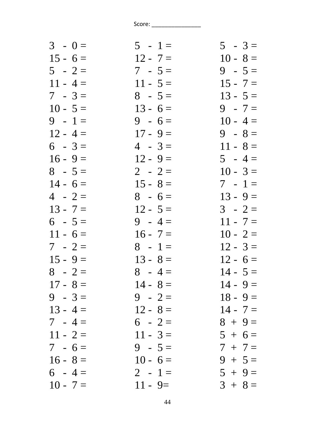| $3 - 0 =$  | $5 - 1 =$  | $5 - 3 =$  |
|------------|------------|------------|
| $15 - 6 =$ | $12 - 7 =$ | $10 - 8 =$ |
| $5 - 2 =$  | $7 - 5 =$  | $9 - 5 =$  |
| $11 - 4 =$ | $11 - 5 =$ | $15 - 7 =$ |
| $7 - 3 =$  | $8 - 5 =$  | $13 - 5 =$ |
| $10 - 5 =$ | $13 - 6 =$ | $9 - 7 =$  |
| $9 - 1 =$  | $9 - 6 =$  | $10 - 4 =$ |
| $12 - 4 =$ | $17 - 9 =$ | $9 - 8 =$  |
| $6 - 3 =$  | $4 - 3 =$  | $11 - 8 =$ |
| $16 - 9 =$ | $12 - 9 =$ | $5 - 4 =$  |
| $8 - 5 =$  | $2 - 2 =$  | $10 - 3 =$ |
| $14 - 6 =$ | $15 - 8 =$ | $7 - 1 =$  |
| $4 - 2 =$  | $8 - 6 =$  | $13 - 9 =$ |
| $13 - 7 =$ | $12 - 5 =$ | $3 - 2 =$  |
| $6 - 5 =$  | $9 - 4 =$  | $11 - 7 =$ |
| $11 - 6 =$ | $16 - 7 =$ | $10 - 2 =$ |
| $7 - 2 =$  | $8 - 1 =$  | $12 - 3 =$ |
| $15 - 9 =$ | $13 - 8 =$ | $12 - 6 =$ |
| $8 - 2 =$  | $8 - 4 =$  | $14 - 5 =$ |
| $17 - 8 =$ | $14 - 8 =$ | $14 - 9 =$ |
| $9 - 3 =$  | $9 - 2 =$  | $18 - 9 =$ |
| $13 - 4 =$ | $12 - 8 =$ | $14 - 7 =$ |
| $7 - 4 =$  | $6 - 2 =$  | $8 + 9 =$  |
| $11 - 2 =$ | $11 - 3 =$ | $5 + 6 =$  |
| $7 - 6 =$  | $9 - 5 =$  | $7 + 7 =$  |
| $16 - 8 =$ | $10 - 6 =$ | $9 + 5 =$  |
| $6 - 4 =$  | $2 - 1 =$  | $5 + 9 =$  |
| $10 - 7 =$ | $11 - 9 =$ | $3 + 8 =$  |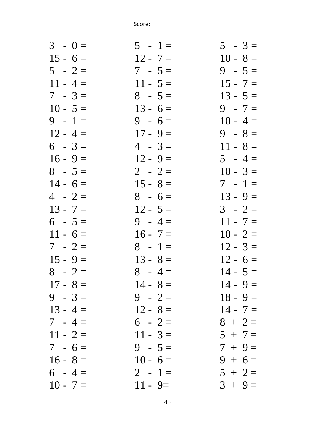| $3 - 0 =$  | $5 - 1 =$  | $5 - 3 =$  |
|------------|------------|------------|
| $15 - 6 =$ | $12 - 7 =$ | $10 - 8 =$ |
| $5 - 2 =$  | $7 - 5 =$  | $9 - 5 =$  |
| $11 - 4 =$ | $11 - 5 =$ | $15 - 7 =$ |
| $7 - 3 =$  | $8 - 5 =$  | $13 - 5 =$ |
| $10 - 5 =$ | $13 - 6 =$ | $9 - 7 =$  |
| $9 - 1 =$  | $9 - 6 =$  | $10 - 4 =$ |
| $12 - 4 =$ | $17 - 9 =$ | $9 - 8 =$  |
| $6 - 3 =$  | $4 - 3 =$  | $11 - 8 =$ |
| $16 - 9 =$ | $12 - 9 =$ | $5 - 4 =$  |
| $8 - 5 =$  | $2 - 2 =$  | $10 - 3 =$ |
| $14 - 6 =$ | $15 - 8 =$ | $7 - 1 =$  |
| $4 - 2 =$  | $8 - 6 =$  | $13 - 9 =$ |
| $13 - 7 =$ | $12 - 5 =$ | $3 - 2 =$  |
| $6 - 5 =$  | $9 - 4 =$  | $11 - 7 =$ |
| $11 - 6 =$ | $16 - 7 =$ | $10 - 2 =$ |
| $7 - 2 =$  | $8 - 1 =$  | $12 - 3 =$ |
| $15 - 9 =$ | $13 - 8 =$ | $12 - 6 =$ |
| $8 - 2 =$  | $8 - 4 =$  | $14 - 5 =$ |
| $17 - 8 =$ | $14 - 8 =$ | $14 - 9 =$ |
| $9 - 3 =$  | $9 - 2 =$  | $18 - 9 =$ |
| $13 - 4 =$ | $12 - 8 =$ | $14 - 7 =$ |
| $7 - 4 =$  | $6 - 2 =$  | $8 + 2 =$  |
| $11 - 2 =$ | $11 - 3 =$ | $5 + 7 =$  |
| $7 - 6 =$  | $9 - 5 =$  | $7 + 9 =$  |
| $16 - 8 =$ | $10 - 6 =$ | $9 + 6 =$  |
| $6 - 4 =$  | $2 - 1 =$  | $5 + 2 =$  |
| $10 - 7 =$ | $11 - 9 =$ | $3 + 9 =$  |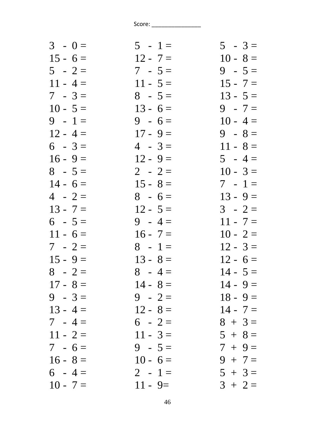| $3 - 0 =$  | $5 - 1 =$  | $5 - 3 =$  |
|------------|------------|------------|
| $15 - 6 =$ | $12 - 7 =$ | $10 - 8 =$ |
| $5 - 2 =$  | $7 - 5 =$  | $9 - 5 =$  |
| $11 - 4 =$ | $11 - 5 =$ | $15 - 7 =$ |
| $7 - 3 =$  | $8 - 5 =$  | $13 - 5 =$ |
| $10 - 5 =$ | $13 - 6 =$ | $9 - 7 =$  |
| $9 - 1 =$  | $9 - 6 =$  | $10 - 4 =$ |
| $12 - 4 =$ | $17 - 9 =$ | $9 - 8 =$  |
| $6 - 3 =$  | $4 - 3 =$  | $11 - 8 =$ |
| $16 - 9 =$ | $12 - 9 =$ | $5 - 4 =$  |
| $8 - 5 =$  | $2 - 2 =$  | $10 - 3 =$ |
| $14 - 6 =$ | $15 - 8 =$ | $7 - 1 =$  |
| $4 - 2 =$  | $8 - 6 =$  | $13 - 9 =$ |
| $13 - 7 =$ | $12 - 5 =$ | $3 - 2 =$  |
| $6 - 5 =$  | $9 - 4 =$  | $11 - 7 =$ |
| $11 - 6 =$ | $16 - 7 =$ | $10 - 2 =$ |
| $7 - 2 =$  | $8 - 1 =$  | $12 - 3 =$ |
| $15 - 9 =$ | $13 - 8 =$ | $12 - 6 =$ |
| $8 - 2 =$  | $8 - 4 =$  | $14 - 5 =$ |
| $17 - 8 =$ | $14 - 8 =$ | $14 - 9 =$ |
| $9 - 3 =$  | $9 - 2 =$  | $18 - 9 =$ |
| $13 - 4 =$ | $12 - 8 =$ | $14 - 7 =$ |
| $7 - 4 =$  | $6 - 2 =$  | $8 + 3 =$  |
| $11 - 2 =$ | $11 - 3 =$ | $5 + 8 =$  |
| $7 - 6 =$  | $9 - 5 =$  | $7 + 9 =$  |
| $16 - 8 =$ | $10 - 6 =$ | $9 + 7 =$  |
| $6 - 4 =$  | $2 - 1 =$  | $5 + 3 =$  |
| $10 - 7 =$ | $11 - 9 =$ | $3 + 2 =$  |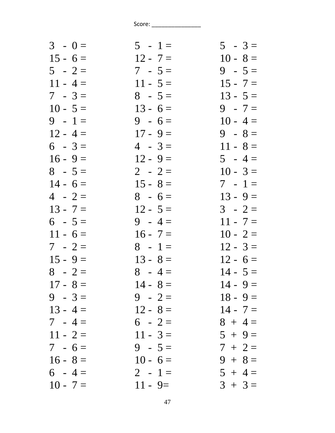| $5 - 1 =$  | $5 - 3 =$  |
|------------|------------|
| $12 - 7 =$ | $10 - 8 =$ |
| $7 - 5 =$  | $9 - 5 =$  |
| $11 - 5 =$ | $15 - 7 =$ |
| $8 - 5 =$  | $13 - 5 =$ |
| $13 - 6 =$ | $9 - 7 =$  |
| $9 - 6 =$  | $10 - 4 =$ |
| $17 - 9 =$ | $9 - 8 =$  |
| $4 - 3 =$  | $11 - 8 =$ |
| $12 - 9 =$ | $5 - 4 =$  |
| $2 - 2 =$  | $10 - 3 =$ |
| $15 - 8 =$ | $7 - 1 =$  |
| $8 - 6 =$  | $13 - 9 =$ |
| $12 - 5 =$ | $3 - 2 =$  |
| $9 - 4 =$  | $11 - 7 =$ |
| $16 - 7 =$ | $10 - 2 =$ |
| $8 - 1 =$  | $12 - 3 =$ |
| $13 - 8 =$ | $12 - 6 =$ |
| $8 - 4 =$  | $14 - 5 =$ |
| $14 - 8 =$ | $14 - 9 =$ |
| $9 - 2 =$  | $18 - 9 =$ |
| $12 - 8 =$ | $14 - 7 =$ |
| $6 - 2 =$  | $8 + 4 =$  |
| $11 - 3 =$ | $5 + 9 =$  |
| $9 - 5 =$  | $7 + 2 =$  |
| $10 - 6 =$ | $9 + 8 =$  |
| $2 - 1 =$  | $5 + 4 =$  |
| $11 - 9 =$ | $3 + 3 =$  |
|            |            |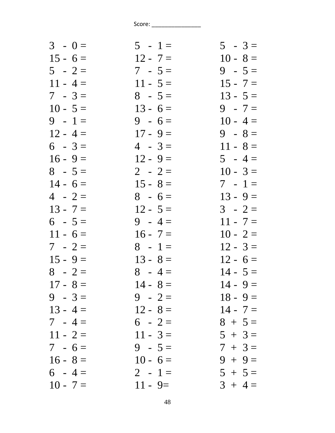| $3 - 0 =$  | $5 - 1 =$  | $5 - 3 =$  |
|------------|------------|------------|
| $15 - 6 =$ | $12 - 7 =$ | $10 - 8 =$ |
| $5 - 2 =$  | $7 - 5 =$  | $9 - 5 =$  |
| $11 - 4 =$ | $11 - 5 =$ | $15 - 7 =$ |
| $7 - 3 =$  | $8 - 5 =$  | $13 - 5 =$ |
| $10 - 5 =$ | $13 - 6 =$ | $9 - 7 =$  |
| $9 - 1 =$  | $9 - 6 =$  | $10 - 4 =$ |
| $12 - 4 =$ | $17 - 9 =$ | $9 - 8 =$  |
| $6 - 3 =$  | $4 - 3 =$  | $11 - 8 =$ |
| $16 - 9 =$ | $12 - 9 =$ | $5 - 4 =$  |
| $8 - 5 =$  | $2 - 2 =$  | $10 - 3 =$ |
| $14 - 6 =$ | $15 - 8 =$ | $7 - 1 =$  |
| $4 - 2 =$  | $8 - 6 =$  | $13 - 9 =$ |
| $13 - 7 =$ | $12 - 5 =$ | $3 - 2 =$  |
| $6 - 5 =$  | $9 - 4 =$  | $11 - 7 =$ |
| $11 - 6 =$ | $16 - 7 =$ | $10 - 2 =$ |
| $7 - 2 =$  | $8 - 1 =$  | $12 - 3 =$ |
| $15 - 9 =$ | $13 - 8 =$ | $12 - 6 =$ |
| $8 - 2 =$  | $8 - 4 =$  | $14 - 5 =$ |
| $17 - 8 =$ | $14 - 8 =$ | $14 - 9 =$ |
| $9 - 3 =$  | $9 - 2 =$  | $18 - 9 =$ |
| $13 - 4 =$ | $12 - 8 =$ | $14 - 7 =$ |
| $7 - 4 =$  | $6 - 2 =$  | $8 + 5 =$  |
| $11 - 2 =$ | $11 - 3 =$ | $5 + 3 =$  |
| $7 - 6 =$  | $9 - 5 =$  | $7 + 3 =$  |
| $16 - 8 =$ | $10 - 6 =$ | $9 + 9 =$  |
| $6 - 4 =$  | $2 - 1 =$  | $5 + 5 =$  |
| $10 - 7 =$ | $11 - 9 =$ | $3 + 4 =$  |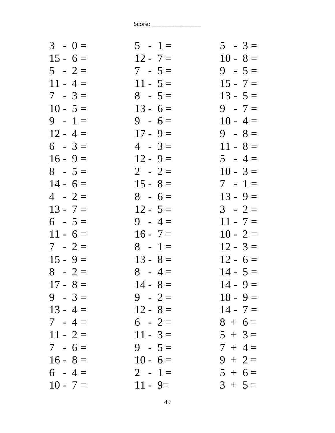| $3 - 0 =$  | $5 - 1 =$  | $5 - 3 =$  |
|------------|------------|------------|
| $15 - 6 =$ | $12 - 7 =$ | $10 - 8 =$ |
| $5 - 2 =$  | $7 - 5 =$  | $9 - 5 =$  |
| $11 - 4 =$ | $11 - 5 =$ | $15 - 7 =$ |
| $7 - 3 =$  | $8 - 5 =$  | $13 - 5 =$ |
| $10 - 5 =$ | $13 - 6 =$ | $9 - 7 =$  |
| $9 - 1 =$  | $9 - 6 =$  | $10 - 4 =$ |
| $12 - 4 =$ | $17 - 9 =$ | $9 - 8 =$  |
| $6 - 3 =$  | $4 - 3 =$  | $11 - 8 =$ |
| $16 - 9 =$ | $12 - 9 =$ | $5 - 4 =$  |
| $8 - 5 =$  | $2 - 2 =$  | $10 - 3 =$ |
| $14 - 6 =$ | $15 - 8 =$ | $7 - 1 =$  |
| $4 - 2 =$  | $8 - 6 =$  | $13 - 9 =$ |
| $13 - 7 =$ | $12 - 5 =$ | $3 - 2 =$  |
| $6 - 5 =$  | $9 - 4 =$  | $11 - 7 =$ |
| $11 - 6 =$ | $16 - 7 =$ | $10 - 2 =$ |
| $7 - 2 =$  | $8 - 1 =$  | $12 - 3 =$ |
| $15 - 9 =$ | $13 - 8 =$ | $12 - 6 =$ |
| $8 - 2 =$  | $8 - 4 =$  | $14 - 5 =$ |
| $17 - 8 =$ | $14 - 8 =$ | $14 - 9 =$ |
| $9 - 3 =$  | $9 - 2 =$  | $18 - 9 =$ |
| $13 - 4 =$ | $12 - 8 =$ | $14 - 7 =$ |
| $7 - 4 =$  | $6 - 2 =$  | $8 + 6 =$  |
| $11 - 2 =$ | $11 - 3 =$ | $5 + 3 =$  |
| $7 - 6 =$  | $9 - 5 =$  | $7 + 4 =$  |
| $16 - 8 =$ | $10 - 6 =$ | $9 + 2 =$  |
| $6 - 4 =$  | $2 - 1 =$  | $5 + 6 =$  |
| $10 - 7 =$ | $11 - 9 =$ | $3 + 5 =$  |
|            |            |            |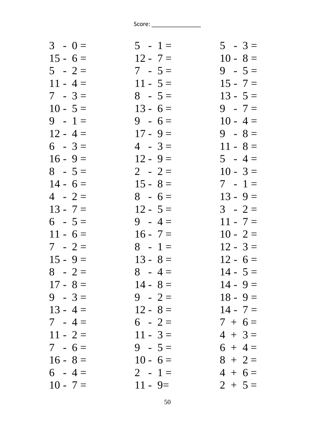| $5 - 1 =$  | $5 - 3 =$  |
|------------|------------|
| $12 - 7 =$ | $10 - 8 =$ |
| $7 - 5 =$  | $9 - 5 =$  |
| $11 - 5 =$ | $15 - 7 =$ |
| $8 - 5 =$  | $13 - 5 =$ |
| $13 - 6 =$ | $9 - 7 =$  |
| $9 - 6 =$  | $10 - 4 =$ |
| $17 - 9 =$ | $9 - 8 =$  |
| $4 - 3 =$  | $11 - 8 =$ |
| $12 - 9 =$ | $5 - 4 =$  |
| $2 - 2 =$  | $10 - 3 =$ |
| $15 - 8 =$ | $7 - 1 =$  |
| $8 - 6 =$  | $13 - 9 =$ |
| $12 - 5 =$ | $3 - 2 =$  |
| $9 - 4 =$  | $11 - 7 =$ |
| $16 - 7 =$ | $10 - 2 =$ |
| $8 - 1 =$  | $12 - 3 =$ |
| $13 - 8 =$ | $12 - 6 =$ |
| $8 - 4 =$  | $14 - 5 =$ |
| $14 - 8 =$ | $14 - 9 =$ |
| $9 - 2 =$  | $18 - 9 =$ |
| $12 - 8 =$ | $14 - 7 =$ |
| $6 - 2 =$  | $7 + 6 =$  |
| $11 - 3 =$ | $4 + 3 =$  |
| $9 - 5 =$  | $6 + 4 =$  |
| $10 - 6 =$ | $8 + 2 =$  |
| $2 - 1 =$  | $4 + 6 =$  |
| $11 - 9 =$ | $2 + 5 =$  |
|            |            |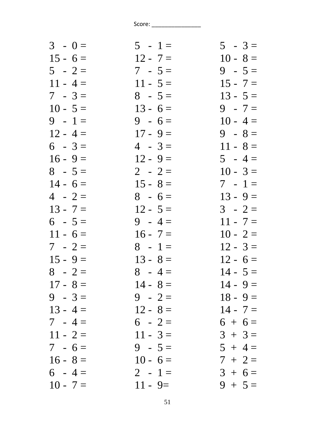| $3 - 0 =$  | $5 - 1 =$  | $5 - 3 =$  |
|------------|------------|------------|
| $15 - 6 =$ | $12 - 7 =$ | $10 - 8 =$ |
| $5 - 2 =$  | $7 - 5 =$  | $9 - 5 =$  |
| $11 - 4 =$ | $11 - 5 =$ | $15 - 7 =$ |
| $7 - 3 =$  | $8 - 5 =$  | $13 - 5 =$ |
| $10 - 5 =$ | $13 - 6 =$ | $9 - 7 =$  |
| $9 - 1 =$  | $9 - 6 =$  | $10 - 4 =$ |
| $12 - 4 =$ | $17 - 9 =$ | $9 - 8 =$  |
| $6 - 3 =$  | $4 - 3 =$  | $11 - 8 =$ |
| $16 - 9 =$ | $12 - 9 =$ | $5 - 4 =$  |
| $8 - 5 =$  | $2 - 2 =$  | $10 - 3 =$ |
| $14 - 6 =$ | $15 - 8 =$ | $7 - 1 =$  |
| $4 - 2 =$  | $8 - 6 =$  | $13 - 9 =$ |
| $13 - 7 =$ | $12 - 5 =$ | $3 - 2 =$  |
| $6 - 5 =$  | $9 - 4 =$  | $11 - 7 =$ |
| $11 - 6 =$ | $16 - 7 =$ | $10 - 2 =$ |
| $7 - 2 =$  | $8 - 1 =$  | $12 - 3 =$ |
| $15 - 9 =$ | $13 - 8 =$ | $12 - 6 =$ |
| $8 - 2 =$  | $8 - 4 =$  | $14 - 5 =$ |
| $17 - 8 =$ | $14 - 8 =$ | $14 - 9 =$ |
| $9 - 3 =$  | $9 - 2 =$  | $18 - 9 =$ |
| $13 - 4 =$ | $12 - 8 =$ | $14 - 7 =$ |
| $7 - 4 =$  | $6 - 2 =$  | $6 + 6 =$  |
| $11 - 2 =$ | $11 - 3 =$ | $3 + 3 =$  |
| $7 - 6 =$  | $9 - 5 =$  | $5 + 4 =$  |
| $16 - 8 =$ | $10 - 6 =$ | $7 + 2 =$  |
| $6 - 4 =$  | $2 - 1 =$  | $3 + 6 =$  |
| $10 - 7 =$ | $11 - 9 =$ | $9 + 5 =$  |
|            |            |            |

51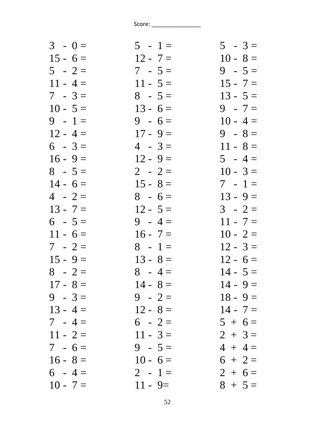| $3 - 0 =$  | $5 - 1 =$  | $5 - 3 =$  |
|------------|------------|------------|
| $15 - 6 =$ | $12 - 7 =$ | $10 - 8 =$ |
| $5 - 2 =$  | $7 - 5 =$  | $9 - 5 =$  |
| $11 - 4 =$ | $11 - 5 =$ | $15 - 7 =$ |
| $7 - 3 =$  | $8 - 5 =$  | $13 - 5 =$ |
| $10 - 5 =$ | $13 - 6 =$ | $9 - 7 =$  |
| $9 - 1 =$  | $9 - 6 =$  | $10 - 4 =$ |
| $12 - 4 =$ | $17 - 9 =$ | $9 - 8 =$  |
| $6 - 3 =$  | $4 - 3 =$  | $11 - 8 =$ |
| $16 - 9 =$ | $12 - 9 =$ | $5 - 4 =$  |
| $8 - 5 =$  | $2 - 2 =$  | $10 - 3 =$ |
| $14 - 6 =$ | $15 - 8 =$ | $7 - 1 =$  |
| $4 - 2 =$  | $8 - 6 =$  | $13 - 9 =$ |
| $13 - 7 =$ | $12 - 5 =$ | $3 - 2 =$  |
| $6 - 5 =$  | $9 - 4 =$  | $11 - 7 =$ |
| $11 - 6 =$ | $16 - 7 =$ | $10 - 2 =$ |
| $7 - 2 =$  | $8 - 1 =$  | $12 - 3 =$ |
| $15 - 9 =$ | $13 - 8 =$ | $12 - 6 =$ |
| $8 - 2 =$  | $8 - 4 =$  | $14 - 5 =$ |
| $17 - 8 =$ | $14 - 8 =$ | $14 - 9 =$ |
| $9 - 3 =$  | $9 - 2 =$  | $18 - 9 =$ |
| $13 - 4 =$ | $12 - 8 =$ | $14 - 7 =$ |
| $7 - 4 =$  | $6 - 2 =$  | $5 + 6 =$  |
| $11 - 2 =$ | $11 - 3 =$ | $2 + 3 =$  |
| $7 - 6 =$  | $9 - 5 =$  | $4 + 4 =$  |
| $16 - 8 =$ | $10 - 6 =$ | $6 + 2 =$  |
| $6 - 4 =$  | $2 - 1 =$  | $2 + 6 =$  |
| $10 - 7 =$ | $11 - 9 =$ | $8 + 5 =$  |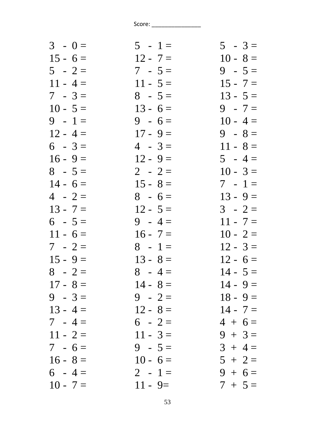| $3 - 0 =$  | $5 - 1 =$  | $5 - 3 =$  |
|------------|------------|------------|
| $15 - 6 =$ | $12 - 7 =$ | $10 - 8 =$ |
| $5 - 2 =$  | $7 - 5 =$  | $9 - 5 =$  |
| $11 - 4 =$ | $11 - 5 =$ | $15 - 7 =$ |
| $7 - 3 =$  | $8 - 5 =$  | $13 - 5 =$ |
| $10 - 5 =$ | $13 - 6 =$ | $9 - 7 =$  |
| $9 - 1 =$  | $9 - 6 =$  | $10 - 4 =$ |
| $12 - 4 =$ | $17 - 9 =$ | $9 - 8 =$  |
| $6 - 3 =$  | $4 - 3 =$  | $11 - 8 =$ |
| $16 - 9 =$ | $12 - 9 =$ | $5 - 4 =$  |
| $8 - 5 =$  | $2 - 2 =$  | $10 - 3 =$ |
| $14 - 6 =$ | $15 - 8 =$ | $7 - 1 =$  |
| $4 - 2 =$  | $8 - 6 =$  | $13 - 9 =$ |
| $13 - 7 =$ | $12 - 5 =$ | $3 - 2 =$  |
| $6 - 5 =$  | $9 - 4 =$  | $11 - 7 =$ |
| $11 - 6 =$ | $16 - 7 =$ | $10 - 2 =$ |
| $7 - 2 =$  | $8 - 1 =$  | $12 - 3 =$ |
| $15 - 9 =$ | $13 - 8 =$ | $12 - 6 =$ |
| $8 - 2 =$  | $8 - 4 =$  | $14 - 5 =$ |
| $17 - 8 =$ | $14 - 8 =$ | $14 - 9 =$ |
| $9 - 3 =$  | $9 - 2 =$  | $18 - 9 =$ |
| $13 - 4 =$ | $12 - 8 =$ | $14 - 7 =$ |
| $7 - 4 =$  | $6 - 2 =$  | $4 + 6 =$  |
| $11 - 2 =$ | $11 - 3 =$ | $9 + 3 =$  |
| $7 - 6 =$  | $9 - 5 =$  | $3 + 4 =$  |
| $16 - 8 =$ | $10 - 6 =$ | $5 + 2 =$  |
| $6 - 4 =$  | $2 - 1 =$  | $9 + 6 =$  |
| $10 - 7 =$ | $11 - 9 =$ | $7 + 5 =$  |
|            |            |            |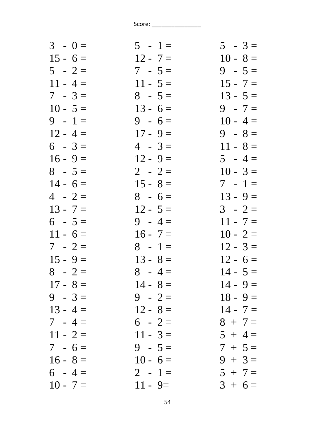| $5 - 1 =$  | $5 - 3 =$  |
|------------|------------|
| $12 - 7 =$ | $10 - 8 =$ |
| $7 - 5 =$  | $9 - 5 =$  |
| $11 - 5 =$ | $15 - 7 =$ |
| $8 - 5 =$  | $13 - 5 =$ |
| $13 - 6 =$ | $9 - 7 =$  |
| $9 - 6 =$  | $10 - 4 =$ |
| $17 - 9 =$ | $9 - 8 =$  |
| $4 - 3 =$  | $11 - 8 =$ |
| $12 - 9 =$ | $5 - 4 =$  |
| $2 - 2 =$  | $10 - 3 =$ |
| $15 - 8 =$ | $7 - 1 =$  |
| $8 - 6 =$  | $13 - 9 =$ |
| $12 - 5 =$ | $3 - 2 =$  |
| $9 - 4 =$  | $11 - 7 =$ |
| $16 - 7 =$ | $10 - 2 =$ |
| $8 - 1 =$  | $12 - 3 =$ |
| $13 - 8 =$ | $12 - 6 =$ |
| $8 - 4 =$  | $14 - 5 =$ |
| $14 - 8 =$ | $14 - 9 =$ |
| $9 - 2 =$  | $18 - 9 =$ |
| $12 - 8 =$ | $14 - 7 =$ |
| $6 - 2 =$  | $8 + 7 =$  |
| $11 - 3 =$ | $5 + 4 =$  |
| $9 - 5 =$  | $7 + 5 =$  |
| $10 - 6 =$ | $9 + 3 =$  |
| $2 - 1 =$  | $5 + 7 =$  |
| $11 - 9 =$ | $3 + 6 =$  |
|            |            |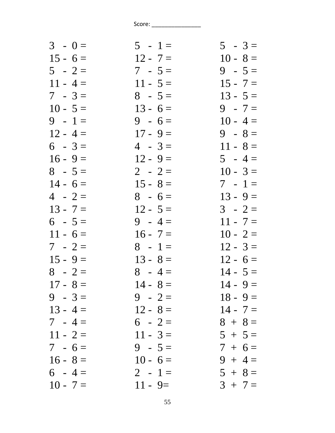| $5 - 1 =$  | $5 - 3 =$  |
|------------|------------|
| $12 - 7 =$ | $10 - 8 =$ |
| $7 - 5 =$  | $9 - 5 =$  |
| $11 - 5 =$ | $15 - 7 =$ |
| $8 - 5 =$  | $13 - 5 =$ |
| $13 - 6 =$ | $9 - 7 =$  |
| $9 - 6 =$  | $10 - 4 =$ |
| $17 - 9 =$ | $9 - 8 =$  |
| $4 - 3 =$  | $11 - 8 =$ |
| $12 - 9 =$ | $5 - 4 =$  |
| $2 - 2 =$  | $10 - 3 =$ |
| $15 - 8 =$ | $7 - 1 =$  |
| $8 - 6 =$  | $13 - 9 =$ |
| $12 - 5 =$ | $3 - 2 =$  |
| $9 - 4 =$  | $11 - 7 =$ |
| $16 - 7 =$ | $10 - 2 =$ |
| $8 - 1 =$  | $12 - 3 =$ |
| $13 - 8 =$ | $12 - 6 =$ |
| $8 - 4 =$  | $14 - 5 =$ |
| $14 - 8 =$ | $14 - 9 =$ |
| $9 - 2 =$  | $18 - 9 =$ |
| $12 - 8 =$ | $14 - 7 =$ |
| $6 - 2 =$  | $8 + 8 =$  |
| $11 - 3 =$ | $5 + 5 =$  |
| $9 - 5 =$  | $7 + 6 =$  |
| $10 - 6 =$ | $9 + 4 =$  |
| $2 - 1 =$  | $5 + 8 =$  |
| $11 - 9 =$ | $3 + 7 =$  |
|            |            |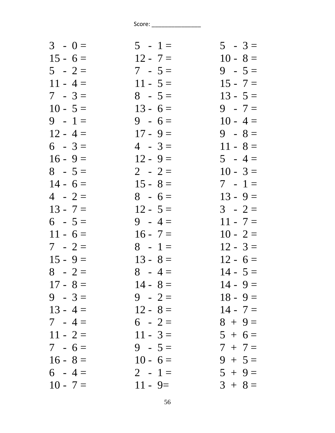| $3 - 0 =$  | $5 - 1 =$  | $5 - 3 =$  |
|------------|------------|------------|
| $15 - 6 =$ | $12 - 7 =$ | $10 - 8 =$ |
| $5 - 2 =$  | $7 - 5 =$  | $9 - 5 =$  |
| $11 - 4 =$ | $11 - 5 =$ | $15 - 7 =$ |
| $7 - 3 =$  | $8 - 5 =$  | $13 - 5 =$ |
| $10 - 5 =$ | $13 - 6 =$ | $9 - 7 =$  |
| $9 - 1 =$  | $9 - 6 =$  | $10 - 4 =$ |
| $12 - 4 =$ | $17 - 9 =$ | $9 - 8 =$  |
| $6 - 3 =$  | $4 - 3 =$  | $11 - 8 =$ |
| $16 - 9 =$ | $12 - 9 =$ | $5 - 4 =$  |
| $8 - 5 =$  | $2 - 2 =$  | $10 - 3 =$ |
| $14 - 6 =$ | $15 - 8 =$ | $7 - 1 =$  |
| $4 - 2 =$  | $8 - 6 =$  | $13 - 9 =$ |
| $13 - 7 =$ | $12 - 5 =$ | $3 - 2 =$  |
| $6 - 5 =$  | $9 - 4 =$  | $11 - 7 =$ |
| $11 - 6 =$ | $16 - 7 =$ | $10 - 2 =$ |
| $7 - 2 =$  | $8 - 1 =$  | $12 - 3 =$ |
| $15 - 9 =$ | $13 - 8 =$ | $12 - 6 =$ |
| $8 - 2 =$  | $8 - 4 =$  | $14 - 5 =$ |
| $17 - 8 =$ | $14 - 8 =$ | $14 - 9 =$ |
| $9 - 3 =$  | $9 - 2 =$  | $18 - 9 =$ |
| $13 - 4 =$ | $12 - 8 =$ | $14 - 7 =$ |
| $7 - 4 =$  | $6 - 2 =$  | $8 + 9 =$  |
| $11 - 2 =$ | $11 - 3 =$ | $5 + 6 =$  |
| $7 - 6 =$  | $9 - 5 =$  | $7 + 7 =$  |
| $16 - 8 =$ | $10 - 6 =$ | $9 + 5 =$  |
| $6 - 4 =$  | $2 - 1 =$  | $5 + 9 =$  |
| $10 - 7 =$ | $11 - 9 =$ | $3 + 8 =$  |
|            |            |            |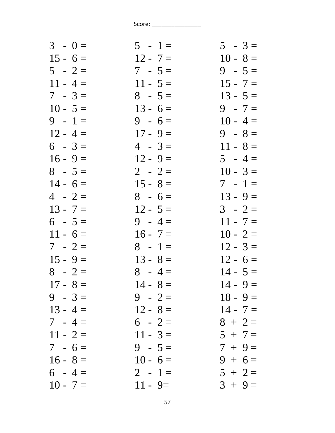| $5 - 1 =$  | $5 - 3 =$  |
|------------|------------|
| $12 - 7 =$ | $10 - 8 =$ |
| $7 - 5 =$  | $9 - 5 =$  |
| $11 - 5 =$ | $15 - 7 =$ |
| $8 - 5 =$  | $13 - 5 =$ |
| $13 - 6 =$ | $9 - 7 =$  |
| $9 - 6 =$  | $10 - 4 =$ |
| $17 - 9 =$ | $9 - 8 =$  |
| $4 - 3 =$  | $11 - 8 =$ |
| $12 - 9 =$ | $5 - 4 =$  |
| $2 - 2 =$  | $10 - 3 =$ |
| $15 - 8 =$ | $7 - 1 =$  |
| $8 - 6 =$  | $13 - 9 =$ |
| $12 - 5 =$ | $3 - 2 =$  |
| $9 - 4 =$  | $11 - 7 =$ |
| $16 - 7 =$ | $10 - 2 =$ |
| $8 - 1 =$  | $12 - 3 =$ |
| $13 - 8 =$ | $12 - 6 =$ |
| $8 - 4 =$  | $14 - 5 =$ |
| $14 - 8 =$ | $14 - 9 =$ |
| $9 - 2 =$  | $18 - 9 =$ |
| $12 - 8 =$ | $14 - 7 =$ |
| $6 - 2 =$  | $8 + 2 =$  |
| $11 - 3 =$ | $5 + 7 =$  |
| $9 - 5 =$  | $7 + 9 =$  |
| $10 - 6 =$ | $9 + 6 =$  |
| $2 - 1 =$  | $5 + 2 =$  |
| $11 - 9 =$ | $3 + 9 =$  |
|            |            |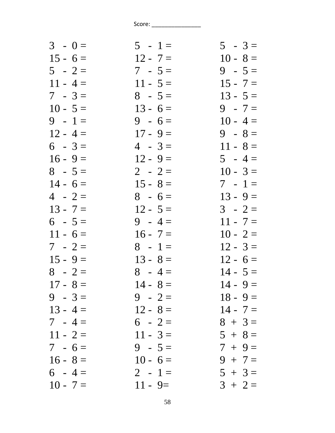| $3 - 0 =$  | $5 - 1 =$  | $5 - 3 =$  |
|------------|------------|------------|
| $15 - 6 =$ | $12 - 7 =$ | $10 - 8 =$ |
| $5 - 2 =$  | $7 - 5 =$  | $9 - 5 =$  |
| $11 - 4 =$ | $11 - 5 =$ | $15 - 7 =$ |
| $7 - 3 =$  | $8 - 5 =$  | $13 - 5 =$ |
| $10 - 5 =$ | $13 - 6 =$ | $9 - 7 =$  |
| $9 - 1 =$  | $9 - 6 =$  | $10 - 4 =$ |
| $12 - 4 =$ | $17 - 9 =$ | $9 - 8 =$  |
| $6 - 3 =$  | $4 - 3 =$  | $11 - 8 =$ |
| $16 - 9 =$ | $12 - 9 =$ | $5 - 4 =$  |
| $8 - 5 =$  | $2 - 2 =$  | $10 - 3 =$ |
| $14 - 6 =$ | $15 - 8 =$ | $7 - 1 =$  |
| $4 - 2 =$  | $8 - 6 =$  | $13 - 9 =$ |
| $13 - 7 =$ | $12 - 5 =$ | $3 - 2 =$  |
| $6 - 5 =$  | $9 - 4 =$  | $11 - 7 =$ |
| $11 - 6 =$ | $16 - 7 =$ | $10 - 2 =$ |
| $7 - 2 =$  | $8 - 1 =$  | $12 - 3 =$ |
| $15 - 9 =$ | $13 - 8 =$ | $12 - 6 =$ |
| $8 - 2 =$  | $8 - 4 =$  | $14 - 5 =$ |
| $17 - 8 =$ | $14 - 8 =$ | $14 - 9 =$ |
| $9 - 3 =$  | $9 - 2 =$  | $18 - 9 =$ |
| $13 - 4 =$ | $12 - 8 =$ | $14 - 7 =$ |
| $7 - 4 =$  | $6 - 2 =$  | $8 + 3 =$  |
| $11 - 2 =$ | $11 - 3 =$ | $5 + 8 =$  |
| $7 - 6 =$  | $9 - 5 =$  | $7 + 9 =$  |
| $16 - 8 =$ | $10 - 6 =$ | $9 + 7 =$  |
| $6 - 4 =$  | $2 - 1 =$  | $5 + 3 =$  |
| $10 - 7 =$ | $11 - 9 =$ | $3 + 2 =$  |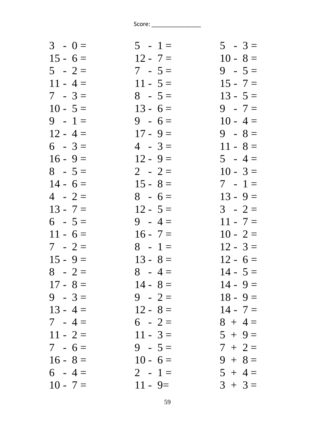| $3 - 0 =$  | $5 - 1 =$  | $5 - 3 =$  |
|------------|------------|------------|
| $15 - 6 =$ | $12 - 7 =$ | $10 - 8 =$ |
| $5 - 2 =$  | $7 - 5 =$  | $9 - 5 =$  |
| $11 - 4 =$ | $11 - 5 =$ | $15 - 7 =$ |
| $7 - 3 =$  | $8 - 5 =$  | $13 - 5 =$ |
| $10 - 5 =$ | $13 - 6 =$ | $9 - 7 =$  |
| $9 - 1 =$  | $9 - 6 =$  | $10 - 4 =$ |
| $12 - 4 =$ | $17 - 9 =$ | $9 - 8 =$  |
| $6 - 3 =$  | $4 - 3 =$  | $11 - 8 =$ |
| $16 - 9 =$ | $12 - 9 =$ | $5 - 4 =$  |
| $8 - 5 =$  | $2 - 2 =$  | $10 - 3 =$ |
| $14 - 6 =$ | $15 - 8 =$ | $7 - 1 =$  |
| $4 - 2 =$  | $8 - 6 =$  | $13 - 9 =$ |
| $13 - 7 =$ | $12 - 5 =$ | $3 - 2 =$  |
| $6 - 5 =$  | $9 - 4 =$  | $11 - 7 =$ |
| $11 - 6 =$ | $16 - 7 =$ | $10 - 2 =$ |
| $7 - 2 =$  | $8 - 1 =$  | $12 - 3 =$ |
| $15 - 9 =$ | $13 - 8 =$ | $12 - 6 =$ |
| $8 - 2 =$  | $8 - 4 =$  | $14 - 5 =$ |
| $17 - 8 =$ | $14 - 8 =$ | $14 - 9 =$ |
| $9 - 3 =$  | $9 - 2 =$  | $18 - 9 =$ |
| $13 - 4 =$ | $12 - 8 =$ | $14 - 7 =$ |
| $7 - 4 =$  | $6 - 2 =$  | $8 + 4 =$  |
| $11 - 2 =$ | $11 - 3 =$ | $5 + 9 =$  |
| $7 - 6 =$  | $9 - 5 =$  | $7 + 2 =$  |
| $16 - 8 =$ | $10 - 6 =$ | $9 + 8 =$  |
| $6 - 4 =$  | $2 - 1 =$  | $5 + 4 =$  |
| $10 - 7 =$ | $11 - 9 =$ | $3 + 3 =$  |
|            |            |            |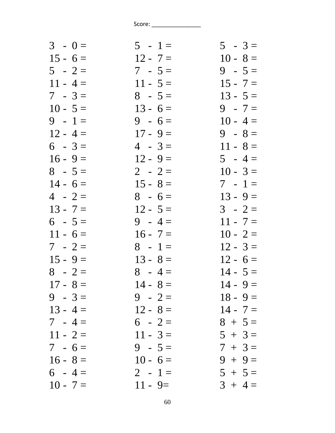| $3 - 0 =$  | $5 - 1 =$  | $5 - 3 =$  |
|------------|------------|------------|
| $15 - 6 =$ | $12 - 7 =$ | $10 - 8 =$ |
| $5 - 2 =$  | $7 - 5 =$  | $9 - 5 =$  |
| $11 - 4 =$ | $11 - 5 =$ | $15 - 7 =$ |
| $7 - 3 =$  | $8 - 5 =$  | $13 - 5 =$ |
| $10 - 5 =$ | $13 - 6 =$ | $9 - 7 =$  |
| $9 - 1 =$  | $9 - 6 =$  | $10 - 4 =$ |
| $12 - 4 =$ | $17 - 9 =$ | $9 - 8 =$  |
| $6 - 3 =$  | $4 - 3 =$  | $11 - 8 =$ |
| $16 - 9 =$ | $12 - 9 =$ | $5 - 4 =$  |
| $8 - 5 =$  | $2 - 2 =$  | $10 - 3 =$ |
| $14 - 6 =$ | $15 - 8 =$ | $7 - 1 =$  |
| $4 - 2 =$  | $8 - 6 =$  | $13 - 9 =$ |
| $13 - 7 =$ | $12 - 5 =$ | $3 - 2 =$  |
| $6 - 5 =$  | $9 - 4 =$  | $11 - 7 =$ |
| $11 - 6 =$ | $16 - 7 =$ | $10 - 2 =$ |
| $7 - 2 =$  | $8 - 1 =$  | $12 - 3 =$ |
| $15 - 9 =$ | $13 - 8 =$ | $12 - 6 =$ |
| $8 - 2 =$  | $8 - 4 =$  | $14 - 5 =$ |
| $17 - 8 =$ | $14 - 8 =$ | $14 - 9 =$ |
| $9 - 3 =$  | $9 - 2 =$  | $18 - 9 =$ |
| $13 - 4 =$ | $12 - 8 =$ | $14 - 7 =$ |
| $7 - 4 =$  | $6 - 2 =$  | $8 + 5 =$  |
| $11 - 2 =$ | $11 - 3 =$ | $5 + 3 =$  |
| $7 - 6 =$  | $9 - 5 =$  | $7 + 3 =$  |
| $16 - 8 =$ | $10 - 6 =$ | $9 + 9 =$  |
| $6 - 4 =$  | $2 - 1 =$  | $5 + 5 =$  |
| $10 - 7 =$ | $11 - 9 =$ | $3 + 4 =$  |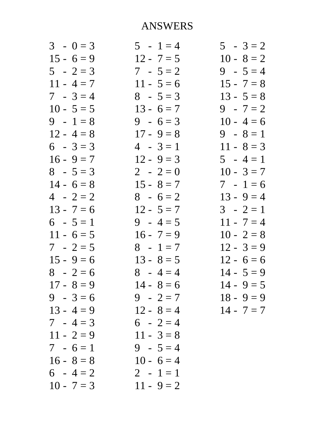| $3 - 0 = 3$  | $5 - 1 = 4$  | $5 - 3 = 2$  |
|--------------|--------------|--------------|
| $15 - 6 = 9$ | $12 - 7 = 5$ | $10 - 8 = 2$ |
| $5 - 2 = 3$  | $7 - 5 = 2$  | $9 - 5 = 4$  |
| $11 - 4 = 7$ | $11 - 5 = 6$ | $15 - 7 = 8$ |
| $7 - 3 = 4$  | $8 - 5 = 3$  | $13 - 5 = 8$ |
| $10 - 5 = 5$ | $13 - 6 = 7$ | $9 - 7 = 2$  |
| 9 - 1 $=$ 8  | $9 - 6 = 3$  | $10 - 4 = 6$ |
| $12 - 4 = 8$ | $17 - 9 = 8$ | $9 - 8 = 1$  |
| 6 - 3 = 3    | $4 - 3 = 1$  | $11 - 8 = 3$ |
| $16 - 9 = 7$ | $12 - 9 = 3$ | $5 - 4 = 1$  |
| $8 - 5 = 3$  | 2 - 2 = 0    | $10 - 3 = 7$ |
| $14 - 6 = 8$ | $15 - 8 = 7$ | $7 - 1 = 6$  |
| $4 - 2 = 2$  | $8 - 6 = 2$  | $13 - 9 = 4$ |
| $13 - 7 = 6$ | $12 - 5 = 7$ | $3 - 2 = 1$  |
| 6 - $5 = 1$  | $9 - 4 = 5$  | $11 - 7 = 4$ |
| $11 - 6 = 5$ | $16 - 7 = 9$ | $10 - 2 = 8$ |
| $7 - 2 = 5$  | $8 - 1 = 7$  | $12 - 3 = 9$ |
| $15 - 9 = 6$ | $13 - 8 = 5$ | $12 - 6 = 6$ |
| $8 - 2 = 6$  | $8 - 4 = 4$  | $14 - 5 = 9$ |
| $17 - 8 = 9$ | $14 - 8 = 6$ | $14 - 9 = 5$ |
| $9 - 3 = 6$  | $9 - 2 = 7$  | $18 - 9 = 9$ |
| $13 - 4 = 9$ | $12 - 8 = 4$ | $14 - 7 = 7$ |
| $7 - 4 = 3$  | $6 - 2 = 4$  |              |
| $11 - 2 = 9$ | $11 - 3 = 8$ |              |
| $7 - 6 = 1$  | $9 - 5 = 4$  |              |
| $16 - 8 = 8$ | $10 - 6 = 4$ |              |
| $6 - 4 = 2$  | $2 - 1 = 1$  |              |
| $10 - 7 = 3$ | $11 - 9 = 2$ |              |